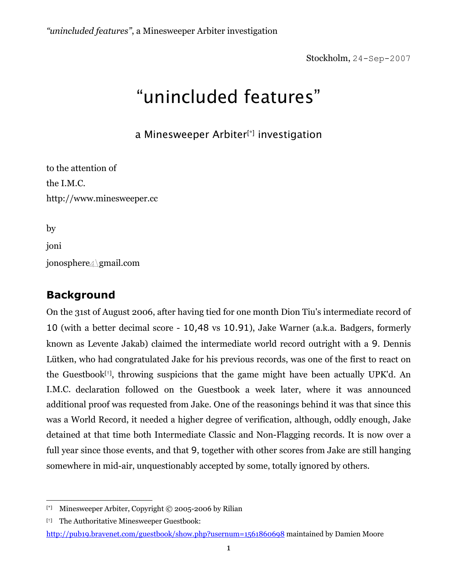Stockholm, 24-Sep-2007

# "unincluded features"

a Minesweeper Arbiter[\*] investigation

to the attention of the I.M.C. http://www.minesweeper.cc

by

joni

jonosphere4\gmail.com

# **Background**

On the 31st of August 2006, after having tied for one month Dion Tiu's intermediate record of 10 (with a better decimal score - 10,48 vs 10.91), Jake Warner (a.k.a. Badgers, formerly known as Levente Jakab) claimed the intermediate world record outright with a 9. Dennis Lütken, who had congratulated Jake for his previous records, was one of the first to react on the Guestbook[†], throwing suspicions that the game might have been actually UPK'd. An I.M.C. declaration followed on the Guestbook a week later, where it was announced additional proof was requested from Jake. One of the reasonings behind it was that since this was a World Record, it needed a higher degree of verification, although, oddly enough, Jake detained at that time both Intermediate Classic and Non-Flagging records. It is now over a full year since those events, and that 9, together with other scores from Jake are still hanging somewhere in mid-air, unquestionably accepted by some, totally ignored by others.

<sup>&</sup>lt;u>.</u> [\*] Minesweeper Arbiter, Copyright © 2005-2006 by Rilian

<sup>[†]</sup> The Authoritative Minesweeper Guestbook:

http://pub19.bravenet.com/guestbook/show.php?usernum=1561860698 maintained by Damien Moore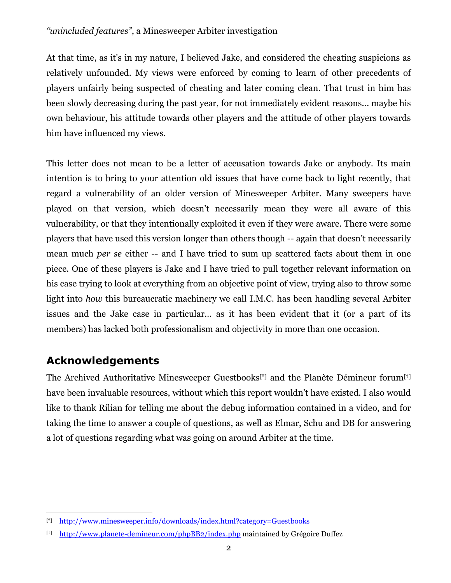At that time, as it's in my nature, I believed Jake, and considered the cheating suspicions as relatively unfounded. My views were enforced by coming to learn of other precedents of players unfairly being suspected of cheating and later coming clean. That trust in him has been slowly decreasing during the past year, for not immediately evident reasons... maybe his own behaviour, his attitude towards other players and the attitude of other players towards him have influenced my views.

This letter does not mean to be a letter of accusation towards Jake or anybody. Its main intention is to bring to your attention old issues that have come back to light recently, that regard a vulnerability of an older version of Minesweeper Arbiter. Many sweepers have played on that version, which doesn't necessarily mean they were all aware of this vulnerability, or that they intentionally exploited it even if they were aware. There were some players that have used this version longer than others though -- again that doesn't necessarily mean much *per se* either -- and I have tried to sum up scattered facts about them in one piece. One of these players is Jake and I have tried to pull together relevant information on his case trying to look at everything from an objective point of view, trying also to throw some light into *how* this bureaucratic machinery we call I.M.C. has been handling several Arbiter issues and the Jake case in particular… as it has been evident that it (or a part of its members) has lacked both professionalism and objectivity in more than one occasion.

# **Acknowledgements**

The Archived Authoritative Minesweeper Guestbooks[\*] and the Planète Démineur forum[†] have been invaluable resources, without which this report wouldn't have existed. I also would like to thank Rilian for telling me about the debug information contained in a video, and for taking the time to answer a couple of questions, as well as Elmar, Schu and DB for answering a lot of questions regarding what was going on around Arbiter at the time.

<sup>&</sup>lt;u>.</u> [\*] http://www.minesweeper.info/downloads/index.html?category=Guestbooks

<sup>[†]</sup> http://www.planete-demineur.com/phpBB2/index.php maintained by Grégoire Duffez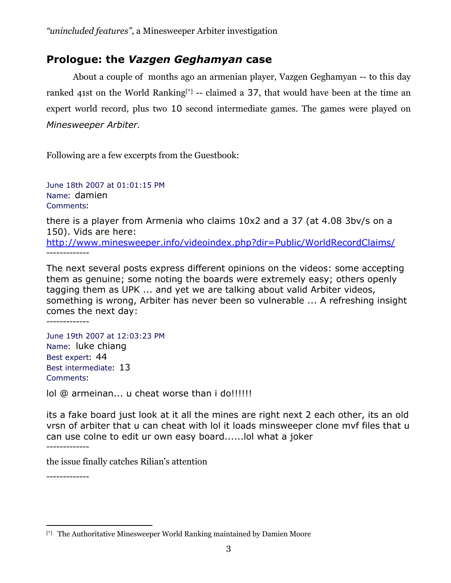# **Prologue: the** *Vazgen Geghamyan* **case**

About a couple of months ago an armenian player, Vazgen Geghamyan -- to this day ranked 41st on the World Ranking<sup>[\*]</sup> -- claimed a 37, that would have been at the time an expert world record, plus two 10 second intermediate games. The games were played on *Minesweeper Arbiter*.

Following are a few excerpts from the Guestbook:

June 18th 2007 at 01:01:15 PM Name: damien Comments:

there is a player from Armenia who claims 10x2 and a 37 (at 4.08 3bv/s on a 150). Vids are here: http://www.minesweeper.info/videoindex.php?dir=Public/WorldRecordClaims/ -------------

The next several posts express different opinions on the videos: some accepting them as genuine; some noting the boards were extremely easy; others openly tagging them as UPK ... and yet we are talking about valid Arbiter videos, something is wrong, Arbiter has never been so vulnerable ... A refreshing insight comes the next day: -------------

June 19th 2007 at 12:03:23 PM Name: luke chiang Best expert: 44 Best intermediate: 13 Comments:

lol @ armeinan... u cheat worse than i do!!!!!!

its a fake board just look at it all the mines are right next 2 each other, its an old vrsn of arbiter that u can cheat with lol it loads minsweeper clone mvf files that u can use colne to edit ur own easy board......lol what a joker -------------

the issue finally catches Rilian's attention

-------------

 $\overline{a}$ [\*] The Authoritative Minesweeper World Ranking maintained by Damien Moore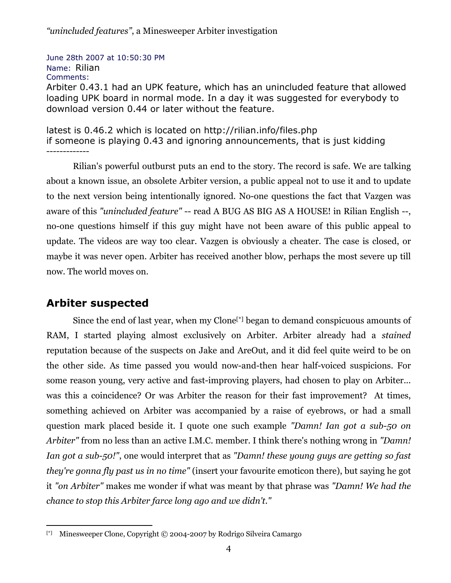June 28th 2007 at 10:50:30 PM Name: Rilian Comments:

Arbiter 0.43.1 had an UPK feature, which has an unincluded feature that allowed loading UPK board in normal mode. In a day it was suggested for everybody to download version 0.44 or later without the feature.

latest is 0.46.2 which is located on http://rilian.info/files.php if someone is playing 0.43 and ignoring announcements, that is just kidding -------------

Rilian's powerful outburst puts an end to the story. The record is safe. We are talking about a known issue, an obsolete Arbiter version, a public appeal not to use it and to update to the next version being intentionally ignored. No-one questions the fact that Vazgen was aware of this *"unincluded feature"* -- read A BUG AS BIG AS A HOUSE! in Rilian English --, no-one questions himself if this guy might have not been aware of this public appeal to update. The videos are way too clear. Vazgen is obviously a cheater. The case is closed, or maybe it was never open. Arbiter has received another blow, perhaps the most severe up till now. The world moves on.

# **Arbiter suspected**

Since the end of last year, when my Clone<sup>[\*]</sup> began to demand conspicuous amounts of RAM, I started playing almost exclusively on Arbiter. Arbiter already had a *stained* reputation because of the suspects on Jake and AreOut, and it did feel quite weird to be on the other side. As time passed you would now-and-then hear half-voiced suspicions. For some reason young, very active and fast-improving players, had chosen to play on Arbiter... was this a coincidence? Or was Arbiter the reason for their fast improvement? At times, something achieved on Arbiter was accompanied by a raise of eyebrows, or had a small question mark placed beside it. I quote one such example *"Damn! Ian got a sub-50 on Arbiter"* from no less than an active I.M.C. member. I think there's nothing wrong in *"Damn! Ian got a sub-50!"*, one would interpret that as *"Damn! these young guys are getting so fast they're gonna fly past us in no time"* (insert your favourite emoticon there), but saying he got it *"on Arbiter"* makes me wonder if what was meant by that phrase was *"Damn! We had the chance to stop this Arbiter farce long ago and we didn't."*

<sup>&</sup>lt;u>.</u> [\*] Minesweeper Clone, Copyright © 2004-2007 by Rodrigo Silveira Camargo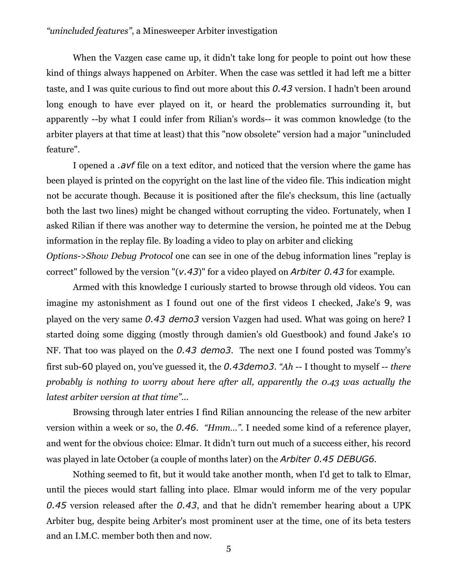When the Vazgen case came up, it didn't take long for people to point out how these kind of things always happened on Arbiter. When the case was settled it had left me a bitter taste, and I was quite curious to find out more about this *0.43* version. I hadn't been around long enough to have ever played on it, or heard the problematics surrounding it, but apparently --by what I could infer from Rilian's words-- it was common knowledge (to the arbiter players at that time at least) that this "now obsolete" version had a major "unincluded feature".

I opened a *.avf* file on a text editor, and noticed that the version where the game has been played is printed on the copyright on the last line of the video file. This indication might not be accurate though. Because it is positioned after the file's checksum, this line (actually both the last two lines) might be changed without corrupting the video. Fortunately, when I asked Rilian if there was another way to determine the version, he pointed me at the Debug information in the replay file. By loading a video to play on arbiter and clicking *Options->Show Debug Protocol* one can see in one of the debug information lines "replay is correct" followed by the version "(*v.43*)" for a video played on *Arbiter 0.43* for example.

Armed with this knowledge I curiously started to browse through old videos. You can imagine my astonishment as I found out one of the first videos I checked, Jake's 9, was played on the very same *0.43 demo3* version Vazgen had used. What was going on here? I started doing some digging (mostly through damien's old Guestbook) and found Jake's 10 NF. That too was played on the *0.43 demo3*. The next one I found posted was Tommy's first sub-60 played on, you've guessed it, the *0.43demo3*. *"Ah* -- I thought to myself -- *there probably is nothing to worry about here after all, apparently the 0.43 was actually the latest arbiter version at that time"*...

Browsing through later entries I find Rilian announcing the release of the new arbiter version within a week or so, the *0.46*. *"Hmm…"*. I needed some kind of a reference player, and went for the obvious choice: Elmar. It didn't turn out much of a success either, his record was played in late October (a couple of months later) on the *Arbiter 0.45 DEBUG6*.

Nothing seemed to fit, but it would take another month, when I'd get to talk to Elmar, until the pieces would start falling into place. Elmar would inform me of the very popular *0.45* version released after the *0.43*, and that he didn't remember hearing about a UPK Arbiter bug, despite being Arbiter's most prominent user at the time, one of its beta testers and an I.M.C. member both then and now.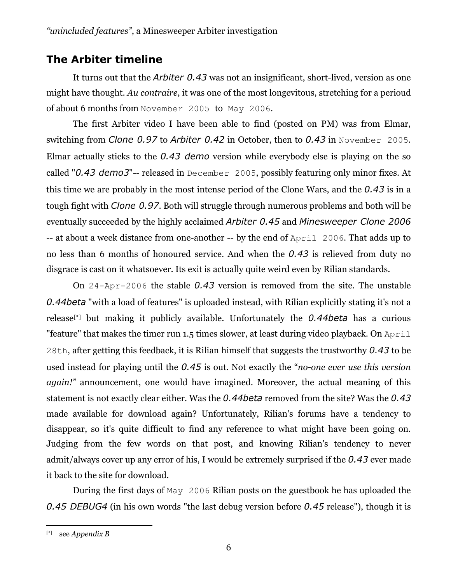# **The Arbiter timeline**

It turns out that the *Arbiter 0.43* was not an insignificant, short-lived, version as one might have thought. *Au contraire*, it was one of the most longevitous, stretching for a perioud of about 6 months from November 2005 to May 2006.

The first Arbiter video I have been able to find (posted on PM) was from Elmar, switching from *Clone 0.97* to *Arbiter 0.42* in October, then to *0.43* in November 2005. Elmar actually sticks to the *0.43 demo* version while everybody else is playing on the so called "*0.43 demo3*"-- released in December 2005, possibly featuring only minor fixes. At this time we are probably in the most intense period of the Clone Wars, and the *0.43* is in a tough fight with *Clone 0.97*. Both will struggle through numerous problems and both will be eventually succeeded by the highly acclaimed *Arbiter 0.45* and *Minesweeper Clone 2006* -- at about a week distance from one-another -- by the end of April 2006. That adds up to no less than 6 months of honoured service. And when the *0.43* is relieved from duty no disgrace is cast on it whatsoever. Its exit is actually quite weird even by Rilian standards.

On 24-Apr-2006 the stable *0.43* version is removed from the site. The unstable *0.44beta* "with a load of features" is uploaded instead, with Rilian explicitly stating it's not a release[\*] but making it publicly available. Unfortunately the *0.44beta* has a curious "feature" that makes the timer run 1.5 times slower, at least during video playback. On April 28th, after getting this feedback, it is Rilian himself that suggests the trustworthy *0.43* to be used instead for playing until the *0.45* is out. Not exactly the "*no-one ever use this version again!"* announcement, one would have imagined. Moreover, the actual meaning of this statement is not exactly clear either. Was the *0.44beta* removed from the site? Was the *0.43* made available for download again? Unfortunately, Rilian's forums have a tendency to disappear, so it's quite difficult to find any reference to what might have been going on. Judging from the few words on that post, and knowing Rilian's tendency to never admit/always cover up any error of his, I would be extremely surprised if the *0.43* ever made it back to the site for download.

 During the first days of May 2006 Rilian posts on the guestbook he has uploaded the *0.45 DEBUG4* (in his own words "the last debug version before *0.45* release"), though it is

<sup>[\*]</sup> see *Appendix B*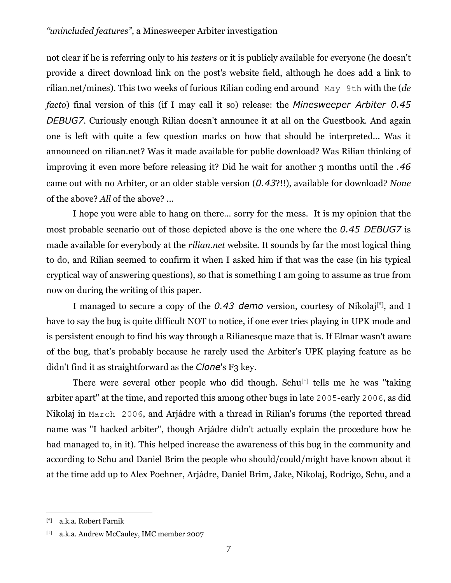not clear if he is referring only to his *testers* or it is publicly available for everyone (he doesn't provide a direct download link on the post's website field, although he does add a link to rilian.net/mines). This two weeks of furious Rilian coding end around May 9th with the (*de facto*) final version of this (if I may call it so) release: the *Minesweeper Arbiter 0.45 DEBUG7*. Curiously enough Rilian doesn't announce it at all on the Guestbook. And again one is left with quite a few question marks on how that should be interpreted... Was it announced on rilian.net? Was it made available for public download? Was Rilian thinking of improving it even more before releasing it? Did he wait for another 3 months until the *.46* came out with no Arbiter, or an older stable version (*0.43*?!!), available for download? *None* of the above? *All* of the above? ...

 I hope you were able to hang on there… sorry for the mess. It is my opinion that the most probable scenario out of those depicted above is the one where the *0.45 DEBUG7* is made available for everybody at the *rilian.net* website. It sounds by far the most logical thing to do, and Rilian seemed to confirm it when I asked him if that was the case (in his typical cryptical way of answering questions), so that is something I am going to assume as true from now on during the writing of this paper.

I managed to secure a copy of the *0.43 demo* version, courtesy of Nikolaj[\*], and I have to say the bug is quite difficult NOT to notice, if one ever tries playing in UPK mode and is persistent enough to find his way through a Rilianesque maze that is. If Elmar wasn't aware of the bug, that's probably because he rarely used the Arbiter's UPK playing feature as he didn't find it as straightforward as the *Clone*'s F<sub>3</sub> key.

There were several other people who did though. Schu<sup>[†]</sup> tells me he was "taking" arbiter apart" at the time, and reported this among other bugs in late 2005-early 2006, as did Nikolaj in March 2006, and Arjádre with a thread in Rilian's forums (the reported thread name was "I hacked arbiter", though Arjádre didn't actually explain the procedure how he had managed to, in it). This helped increase the awareness of this bug in the community and according to Schu and Daniel Brim the people who should/could/might have known about it at the time add up to Alex Poehner, Arjádre, Daniel Brim, Jake, Nikolaj, Rodrigo, Schu, and a

<sup>[\*]</sup> a.k.a. Robert Farnik

<sup>[†]</sup> a.k.a. Andrew McCauley, IMC member 2007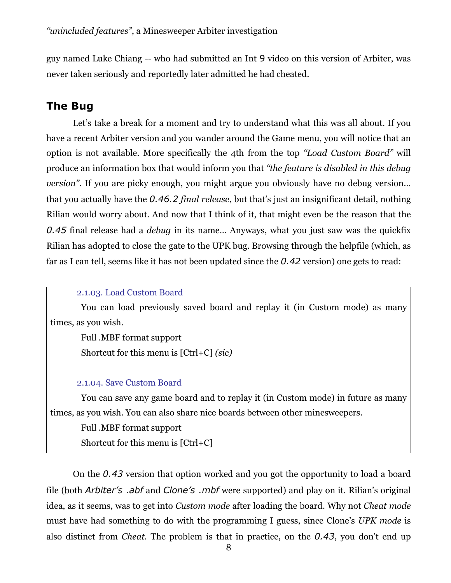guy named Luke Chiang -- who had submitted an Int 9 video on this version of Arbiter, was never taken seriously and reportedly later admitted he had cheated.

# **The Bug**

Let's take a break for a moment and try to understand what this was all about. If you have a recent Arbiter version and you wander around the Game menu, you will notice that an option is not available. More specifically the 4th from the top *"Load Custom Board"* will produce an information box that would inform you that *"the feature is disabled in this debug version*". If you are picky enough, you might argue you obviously have no debug version... that you actually have the *0.46.2 final release*, but that's just an insignificant detail, nothing Rilian would worry about. And now that I think of it, that might even be the reason that the *0.45* final release had a *debug* in its name… Anyways, what you just saw was the quickfix Rilian has adopted to close the gate to the UPK bug. Browsing through the helpfile (which, as far as I can tell, seems like it has not been updated since the *0.42* version) one gets to read:

#### 2.1.03. Load Custom Board

 You can load previously saved board and replay it (in Custom mode) as many times, as you wish.

 Full .MBF format support Shortcut for this menu is [Ctrl+C] *(sic)*

#### 2.1.04. Save Custom Board

 You can save any game board and to replay it (in Custom mode) in future as many times, as you wish. You can also share nice boards between other minesweepers.

 Full .MBF format support Shortcut for this menu is [Ctrl+C]

On the *0.43* version that option worked and you got the opportunity to load a board file (both *Arbiter's .abf* and *Clone's .mbf* were supported) and play on it. Rilian's original idea, as it seems, was to get into *Custom mode* after loading the board. Why not *Cheat mode* must have had something to do with the programming I guess, since Clone's *UPK mode* is also distinct from *Cheat*. The problem is that in practice, on the *0.43*, you don't end up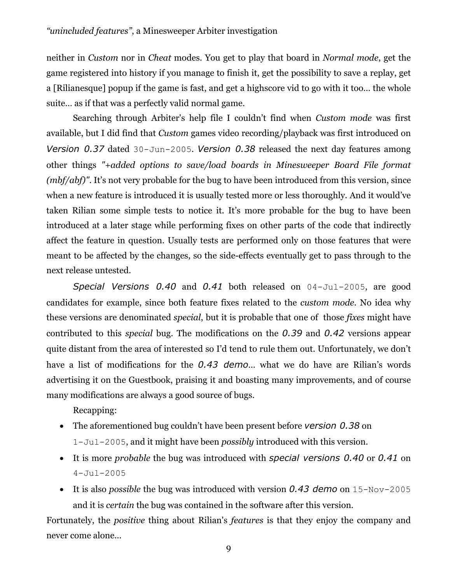neither in *Custom* nor in *Cheat* modes. You get to play that board in *Normal mode*, get the game registered into history if you manage to finish it, get the possibility to save a replay, get a [Rilianesque] popup if the game is fast, and get a highscore vid to go with it too… the whole suite… as if that was a perfectly valid normal game.

Searching through Arbiter's help file I couldn't find when *Custom mode* was first available, but I did find that *Custom* games video recording/playback was first introduced on *Version 0.37* dated 30-Jun-2005. *Version 0.38* released the next day features among other things *"+added options to save/load boards in Minesweeper Board File format (mbf/abf)"*. It's not very probable for the bug to have been introduced from this version, since when a new feature is introduced it is usually tested more or less thoroughly. And it would've taken Rilian some simple tests to notice it. It's more probable for the bug to have been introduced at a later stage while performing fixes on other parts of the code that indirectly affect the feature in question. Usually tests are performed only on those features that were meant to be affected by the changes, so the side-effects eventually get to pass through to the next release untested.

*Special Versions 0.40* and *0.41* both released on 04-Jul-2005, are good candidates for example, since both feature fixes related to the *custom mode*. No idea why these versions are denominated *special*, but it is probable that one of those *fixes* might have contributed to this *special* bug. The modifications on the *0.39* and *0.42* versions appear quite distant from the area of interested so I'd tend to rule them out. Unfortunately, we don't have a list of modifications for the *0.43 demo*… what we do have are Rilian's words advertising it on the Guestbook, praising it and boasting many improvements, and of course many modifications are always a good source of bugs.

Recapping:

- The aforementioned bug couldn't have been present before *version 0.38* on 1-Jul-2005, and it might have been *possibly* introduced with this version.
- It is more *probable* the bug was introduced with *special versions 0.40* or *0.41* on 4-Jul-2005
- It is also *possible* the bug was introduced with version *0.43 demo* on 15-Nov-2005 and it is *certain* the bug was contained in the software after this version.

Fortunately, the *positive* thing about Rilian's *features* is that they enjoy the company and never come alone…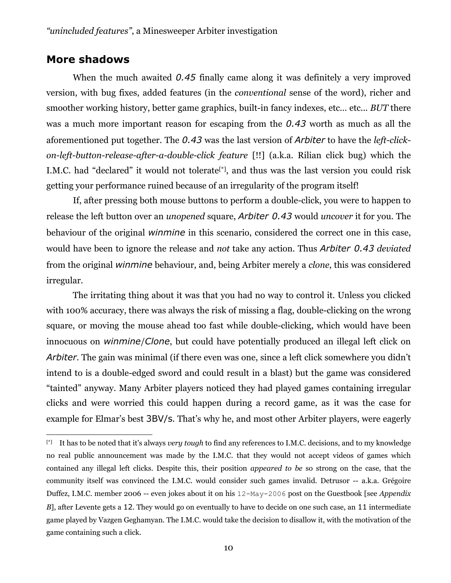## **More shadows**

 $\overline{a}$ 

When the much awaited 0.45 finally came along it was definitely a very improved version, with bug fixes, added features (in the *conventional* sense of the word), richer and smoother working history, better game graphics, built-in fancy indexes, etc… etc... *BUT* there was a much more important reason for escaping from the *0.43* worth as much as all the aforementioned put together. The *0.43* was the last version of *Arbiter* to have the *left-clickon-left-button-release-after-a-double-click feature* [!!] (a.k.a. Rilian click bug) which the I.M.C. had "declared" it would not tolerate<sup>[\*]</sup>, and thus was the last version you could risk getting your performance ruined because of an irregularity of the program itself!

If, after pressing both mouse buttons to perform a double-click, you were to happen to release the left button over an *unopened* square, *Arbiter 0.43* would *uncover* it for you. The behaviour of the original *winmine* in this scenario, considered the correct one in this case, would have been to ignore the release and *not* take any action. Thus *Arbiter 0.43 deviated* from the original *winmine* behaviour, and, being Arbiter merely a *clone*, this was considered irregular.

The irritating thing about it was that you had no way to control it. Unless you clicked with 100% accuracy, there was always the risk of missing a flag, double-clicking on the wrong square, or moving the mouse ahead too fast while double-clicking, which would have been innocuous on *winmine*/*Clone*, but could have potentially produced an illegal left click on *Arbiter*. The gain was minimal (if there even was one, since a left click somewhere you didn't intend to is a double-edged sword and could result in a blast) but the game was considered "tainted" anyway. Many Arbiter players noticed they had played games containing irregular clicks and were worried this could happen during a record game, as it was the case for example for Elmar's best 3BV/s. That's why he, and most other Arbiter players, were eagerly

<sup>[\*]</sup> It has to be noted that it's always *very tough* to find any references to I.M.C. decisions, and to my knowledge no real public announcement was made by the I.M.C. that they would not accept videos of games which contained any illegal left clicks. Despite this, their position *appeared to be* so strong on the case, that the community itself was convinced the I.M.C. would consider such games invalid. Detrusor -- a.k.a. Grégoire Duffez, I.M.C. member 2006 -- even jokes about it on his 12-May-2006 post on the Guestbook [see *Appendix B*], after Levente gets a 12. They would go on eventually to have to decide on one such case, an 11 intermediate game played by Vazgen Geghamyan. The I.M.C. would take the decision to disallow it, with the motivation of the game containing such a click.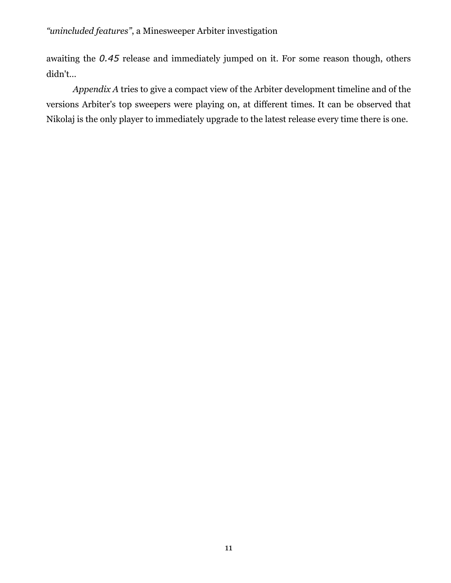awaiting the *0.45* release and immediately jumped on it. For some reason though, others didn't…

*Appendix A* tries to give a compact view of the Arbiter development timeline and of the versions Arbiter's top sweepers were playing on, at different times. It can be observed that Nikolaj is the only player to immediately upgrade to the latest release every time there is one.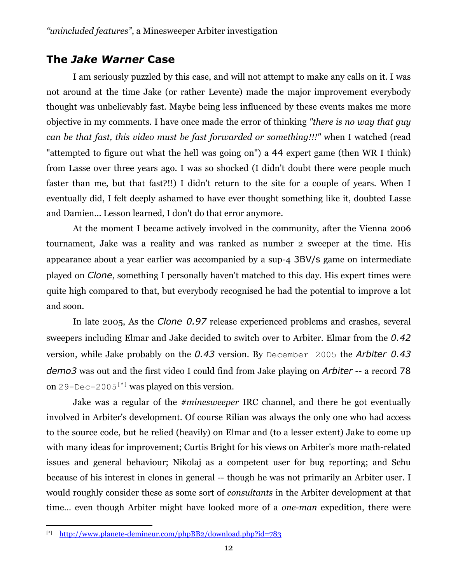# **The** *Jake Warner* **Case**

I am seriously puzzled by this case, and will not attempt to make any calls on it. I was not around at the time Jake (or rather Levente) made the major improvement everybody thought was unbelievably fast. Maybe being less influenced by these events makes me more objective in my comments. I have once made the error of thinking *"there is no way that guy can be that fast, this video must be fast forwarded or something!!!"* when I watched (read "attempted to figure out what the hell was going on") a 44 expert game (then WR I think) from Lasse over three years ago. I was so shocked (I didn't doubt there were people much faster than me, but that fast?!!) I didn't return to the site for a couple of years. When I eventually did, I felt deeply ashamed to have ever thought something like it, doubted Lasse and Damien... Lesson learned, I don't do that error anymore.

At the moment I became actively involved in the community, after the Vienna 2006 tournament, Jake was a reality and was ranked as number 2 sweeper at the time. His appearance about a year earlier was accompanied by a sup-4 3BV/s game on intermediate played on *Clone*, something I personally haven't matched to this day. His expert times were quite high compared to that, but everybody recognised he had the potential to improve a lot and soon.

In late 2005, As the *Clone 0.97* release experienced problems and crashes, several sweepers including Elmar and Jake decided to switch over to Arbiter. Elmar from the *0.42* version, while Jake probably on the *0.43* version. By December 2005 the *Arbiter 0.43 demo3* was out and the first video I could find from Jake playing on *Arbiter* -- a record 78 on 29-Dec-2005<sup>[\*]</sup> was played on this version.

Jake was a regular of the *#minesweeper* IRC channel, and there he got eventually involved in Arbiter's development. Of course Rilian was always the only one who had access to the source code, but he relied (heavily) on Elmar and (to a lesser extent) Jake to come up with many ideas for improvement; Curtis Bright for his views on Arbiter's more math-related issues and general behaviour; Nikolaj as a competent user for bug reporting; and Schu because of his interest in clones in general -- though he was not primarily an Arbiter user. I would roughly consider these as some sort of *consultants* in the Arbiter development at that time… even though Arbiter might have looked more of a *one-man* expedition, there were

<sup>&</sup>lt;u>.</u> [\*] http://www.planete-demineur.com/phpBB2/download.php?id=783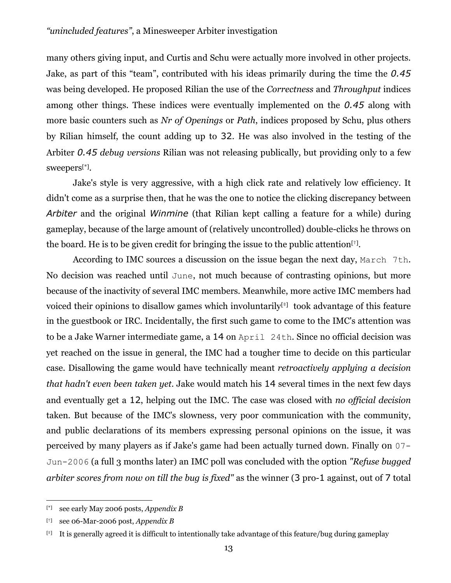many others giving input, and Curtis and Schu were actually more involved in other projects. Jake, as part of this "team", contributed with his ideas primarily during the time the *0.45* was being developed. He proposed Rilian the use of the *Correctness* and *Throughput* indices among other things. These indices were eventually implemented on the *0.45* along with more basic counters such as *Nr of Openings* or *Path*, indices proposed by Schu, plus others by Rilian himself, the count adding up to 32. He was also involved in the testing of the Arbiter *0.45 debug versions* Rilian was not releasing publically, but providing only to a few sweepers[\*].

Jake's style is very aggressive, with a high click rate and relatively low efficiency. It didn't come as a surprise then, that he was the one to notice the clicking discrepancy between *Arbiter* and the original *Winmine* (that Rilian kept calling a feature for a while) during gameplay, because of the large amount of (relatively uncontrolled) double-clicks he throws on the board. He is to be given credit for bringing the issue to the public attention<sup>[†]</sup>.

According to IMC sources a discussion on the issue began the next day, March 7th. No decision was reached until June, not much because of contrasting opinions, but more because of the inactivity of several IMC members. Meanwhile, more active IMC members had voiced their opinions to disallow games which involuntarily<sup>[ $\ddagger$ ]</sup> took advantage of this feature in the guestbook or IRC. Incidentally, the first such game to come to the IMC's attention was to be a Jake Warner intermediate game, a 14 on April 24th. Since no official decision was yet reached on the issue in general, the IMC had a tougher time to decide on this particular case. Disallowing the game would have technically meant *retroactively applying a decision that hadn't even been taken yet*. Jake would match his 14 several times in the next few days and eventually get a 12, helping out the IMC. The case was closed with *no official decision* taken. But because of the IMC's slowness, very poor communication with the community, and public declarations of its members expressing personal opinions on the issue, it was perceived by many players as if Jake's game had been actually turned down. Finally 0n 07- Jun-2006 (a full 3 months later) an IMC poll was concluded with the option *"Refuse bugged arbiter scores from now on till the bug is fixed"* as the winner (3 pro-1 against, out of 7 total

<u>.</u>

<sup>[\*]</sup> see early May 2006 posts, *Appendix B*

<sup>[†]</sup> see 06-Mar-2006 post, *Appendix B*

<sup>[‡]</sup> It is generally agreed it is difficult to intentionally take advantage of this feature/bug during gameplay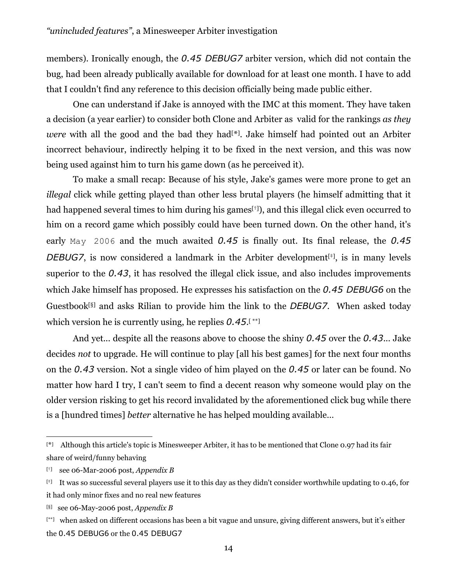members). Ironically enough, the *0.45 DEBUG7* arbiter version, which did not contain the bug, had been already publically available for download for at least one month. I have to add that I couldn't find any reference to this decision officially being made public either.

One can understand if Jake is annoyed with the IMC at this moment. They have taken a decision (a year earlier) to consider both Clone and Arbiter as valid for the rankings *as they were* with all the good and the bad they had[\*]. Jake himself had pointed out an Arbiter incorrect behaviour, indirectly helping it to be fixed in the next version, and this was now being used against him to turn his game down (as he perceived it).

To make a small recap: Because of his style, Jake's games were more prone to get an *illegal* click while getting played than other less brutal players (he himself admitting that it had happened several times to him during his games<sup>[†]</sup>), and this illegal click even occurred to him on a record game which possibly could have been turned down. On the other hand, it's early May 2006 and the much awaited *0.45* is finally out. Its final release, the *0.45 DEBUG7*, is now considered a landmark in the Arbiter development<sup> $[+]$ </sup>, is in many levels superior to the *0.43*, it has resolved the illegal click issue, and also includes improvements which Jake himself has proposed. He expresses his satisfaction on the *0.45 DEBUG6* on the Guestbook[§] and asks Rilian to provide him the link to the *DEBUG7*. When asked today which version he is currently using, he replies *0.45*.[ \*\*]

And yet... despite all the reasons above to choose the shiny *0.45* over the *0.43*... Jake decides *not* to upgrade. He will continue to play [all his best games] for the next four months on the *0.43* version. Not a single video of him played on the *0.45* or later can be found. No matter how hard I try, I can't seem to find a decent reason why someone would play on the older version risking to get his record invalidated by the aforementioned click bug while there is a [hundred times] *better* alternative he has helped moulding available…

<sup>&</sup>lt;u>.</u> [ \*] Although this article's topic is Minesweeper Arbiter, it has to be mentioned that Clone 0.97 had its fair share of weird/funny behaving

<sup>[†]</sup> see 06-Mar-2006 post, *Appendix B*

<sup>[‡]</sup> It was so successful several players use it to this day as they didn't consider worthwhile updating to 0.46, for it had only minor fixes and no real new features

<sup>[§]</sup> see 06-May-2006 post, *Appendix B*

<sup>[\*\*]</sup> when asked on different occasions has been a bit vague and unsure, giving different answers, but it's either the 0.45 DEBUG6 or the 0.45 DEBUG7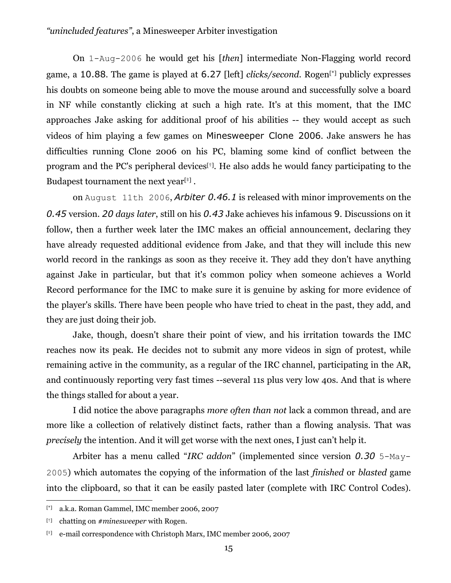On 1-Aug-2006 he would get his [*then*] intermediate Non-Flagging world record game, a 10.88. The game is played at 6.27 [left] *clicks/second*. Rogen[\*] publicly expresses his doubts on someone being able to move the mouse around and successfully solve a board in NF while constantly clicking at such a high rate. It's at this moment, that the IMC approaches Jake asking for additional proof of his abilities -- they would accept as such videos of him playing a few games on Minesweeper Clone 2006. Jake answers he has difficulties running Clone 2006 on his PC, blaming some kind of conflict between the program and the PC's peripheral devices<sup> $[t]$ </sup>. He also adds he would fancy participating to the Budapest tournament the next year<sup>[ $\ddagger$ ]</sup>.

on August 11th 2006, *Arbiter 0.46.1* is released with minor improvements on the *0.45* version. *20 days later*, still on his *0.43* Jake achieves his infamous 9. Discussions on it follow, then a further week later the IMC makes an official announcement, declaring they have already requested additional evidence from Jake, and that they will include this new world record in the rankings as soon as they receive it. They add they don't have anything against Jake in particular, but that it's common policy when someone achieves a World Record performance for the IMC to make sure it is genuine by asking for more evidence of the player's skills. There have been people who have tried to cheat in the past, they add, and they are just doing their job.

Jake, though, doesn't share their point of view, and his irritation towards the IMC reaches now its peak. He decides not to submit any more videos in sign of protest, while remaining active in the community, as a regular of the IRC channel, participating in the AR, and continuously reporting very fast times --several 11s plus very low 40s. And that is where the things stalled for about a year.

I did notice the above paragraphs *more often than not* lack a common thread, and are more like a collection of relatively distinct facts, rather than a flowing analysis. That was *precisely* the intention. And it will get worse with the next ones, I just can't help it.

Arbiter has a menu called "*IRC addon*" (implemented since version *0.30* 5-May-2005) which automates the copying of the information of the last *finished* or *blasted* game into the clipboard, so that it can be easily pasted later (complete with IRC Control Codes).

<sup>[\*]</sup> a.k.a. Roman Gammel, IMC member 2006, 2007

<sup>[†]</sup> chatting on *#minesweeper* with Rogen.

<sup>[‡]</sup> e-mail correspondence with Christoph Marx, IMC member 2006, 2007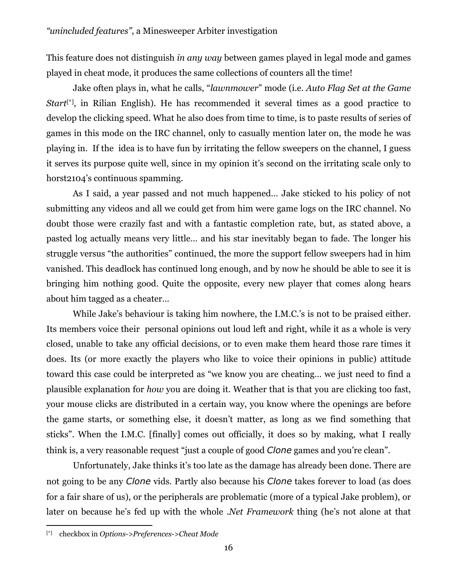This feature does not distinguish *in any way* between games played in legal mode and games played in cheat mode, it produces the same collections of counters all the time!

Jake often plays in, what he calls, "*lawnmower*" mode (i.e. *Auto Flag Set at the Game Start*[\*], in Rilian English). He has recommended it several times as a good practice to develop the clicking speed. What he also does from time to time, is to paste results of series of games in this mode on the IRC channel, only to casually mention later on, the mode he was playing in. If the idea is to have fun by irritating the fellow sweepers on the channel, I guess it serves its purpose quite well, since in my opinion it's second on the irritating scale only to horst2104's continuous spamming.

As I said, a year passed and not much happened… Jake sticked to his policy of not submitting any videos and all we could get from him were game logs on the IRC channel. No doubt those were crazily fast and with a fantastic completion rate, but, as stated above, a pasted log actually means very little… and his star inevitably began to fade. The longer his struggle versus "the authorities" continued, the more the support fellow sweepers had in him vanished. This deadlock has continued long enough, and by now he should be able to see it is bringing him nothing good. Quite the opposite, every new player that comes along hears about him tagged as a cheater…

While Jake's behaviour is taking him nowhere, the I.M.C.'s is not to be praised either. Its members voice their personal opinions out loud left and right, while it as a whole is very closed, unable to take any official decisions, or to even make them heard those rare times it does. Its (or more exactly the players who like to voice their opinions in public) attitude toward this case could be interpreted as "we know you are cheating… we just need to find a plausible explanation for *how* you are doing it. Weather that is that you are clicking too fast, your mouse clicks are distributed in a certain way, you know where the openings are before the game starts, or something else, it doesn't matter, as long as we find something that sticks". When the I.M.C. [finally] comes out officially, it does so by making, what I really think is, a very reasonable request "just a couple of good *Clone* games and you're clean".

Unfortunately, Jake thinks it's too late as the damage has already been done. There are not going to be any *Clone* vids. Partly also because his *Clone* takes forever to load (as does for a fair share of us), or the peripherals are problematic (more of a typical Jake problem), or later on because he's fed up with the whole *.Net Framework* thing (he's not alone at that

<sup>[\*]</sup> checkbox in *Options->Preferences->Cheat Mode*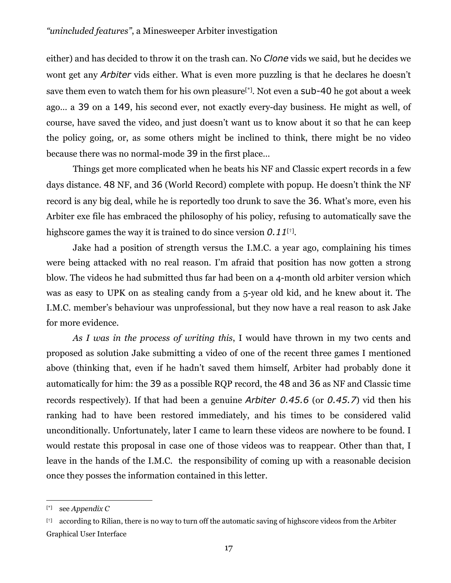either) and has decided to throw it on the trash can. No *Clone* vids we said, but he decides we wont get any *Arbiter* vids either. What is even more puzzling is that he declares he doesn't save them even to watch them for his own pleasure<sup>[\*]</sup>. Not even a sub-40 he got about a week ago… a 39 on a 149, his second ever, not exactly every-day business. He might as well, of course, have saved the video, and just doesn't want us to know about it so that he can keep the policy going, or, as some others might be inclined to think, there might be no video because there was no normal-mode 39 in the first place…

Things get more complicated when he beats his NF and Classic expert records in a few days distance. 48 NF, and 36 (World Record) complete with popup. He doesn't think the NF record is any big deal, while he is reportedly too drunk to save the 36. What's more, even his Arbiter exe file has embraced the philosophy of his policy, refusing to automatically save the highscore games the way it is trained to do since version *0.11*[†].

Jake had a position of strength versus the I.M.C. a year ago, complaining his times were being attacked with no real reason. I'm afraid that position has now gotten a strong blow. The videos he had submitted thus far had been on a 4-month old arbiter version which was as easy to UPK on as stealing candy from a 5-year old kid, and he knew about it. The I.M.C. member's behaviour was unprofessional, but they now have a real reason to ask Jake for more evidence.

*As I was in the process of writing this*, I would have thrown in my two cents and proposed as solution Jake submitting a video of one of the recent three games I mentioned above (thinking that, even if he hadn't saved them himself, Arbiter had probably done it automatically for him: the 39 as a possible RQP record, the 48 and 36 as NF and Classic time records respectively). If that had been a genuine *Arbiter 0.45.6* (or *0.45.7*) vid then his ranking had to have been restored immediately, and his times to be considered valid unconditionally. Unfortunately, later I came to learn these videos are nowhere to be found. I would restate this proposal in case one of those videos was to reappear. Other than that, I leave in the hands of the I.M.C. the responsibility of coming up with a reasonable decision once they posses the information contained in this letter.

<sup>[\*]</sup> see *Appendix C*

<sup>[†]</sup> according to Rilian, there is no way to turn off the automatic saving of highscore videos from the Arbiter Graphical User Interface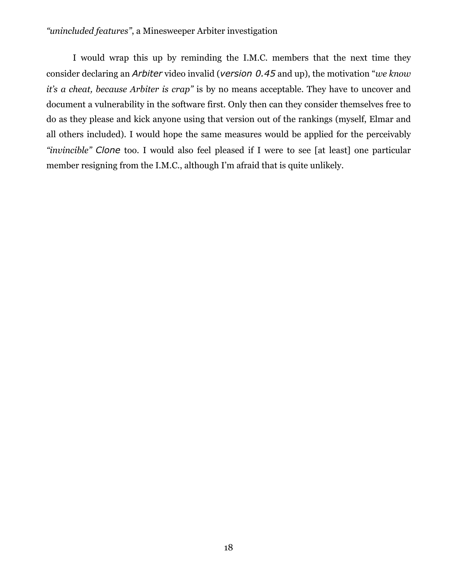I would wrap this up by reminding the I.M.C. members that the next time they consider declaring an *Arbiter* video invalid (*version 0.45* and up), the motivation "*we know it's a cheat, because Arbiter is crap"* is by no means acceptable. They have to uncover and document a vulnerability in the software first. Only then can they consider themselves free to do as they please and kick anyone using that version out of the rankings (myself, Elmar and all others included). I would hope the same measures would be applied for the perceivably *"invincible" Clone* too. I would also feel pleased if I were to see [at least] one particular member resigning from the I.M.C., although I'm afraid that is quite unlikely.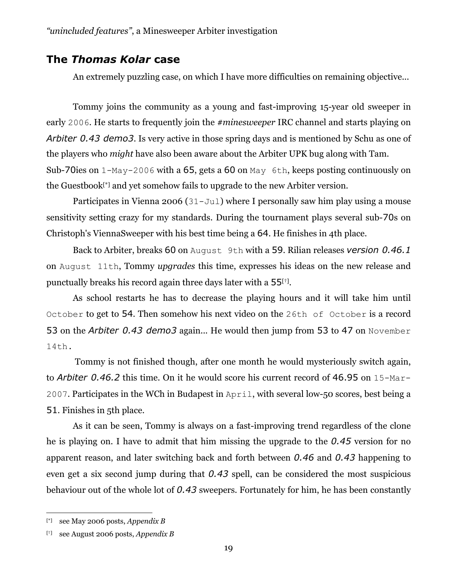## **The** *Thomas Kolar* **case**

An extremely puzzling case, on which I have more difficulties on remaining objective...

Tommy joins the community as a young and fast-improving 15-year old sweeper in early 2006. He starts to frequently join the *#minesweeper* IRC channel and starts playing on *Arbiter 0.43 demo3*. Is very active in those spring days and is mentioned by Schu as one of the players who *might* have also been aware about the Arbiter UPK bug along with Tam. Sub-70ies on 1-May-2006 with a 65, gets a 60 on May 6th, keeps posting continuously on the Guestbook[\*] and yet somehow fails to upgrade to the new Arbiter version.

Participates in Vienna 2006 (31–Jul) where I personally saw him play using a mouse sensitivity setting crazy for my standards. During the tournament plays several sub-70s on Christoph's ViennaSweeper with his best time being a 64. He finishes in 4th place.

 Back to Arbiter, breaks 60 on August 9th with a 59. Rilian releases *version 0.46.1* on August 11th, Tommy *upgrades* this time, expresses his ideas on the new release and punctually breaks his record again three days later with a  $55$ <sup>[ $\dagger$ ]</sup>.

 As school restarts he has to decrease the playing hours and it will take him until October to get to 54. Then somehow his next video on the 26th of October is a record 53 on the *Arbiter 0.43 demo3* again... He would then jump from 53 to 47 on November 14th.

 Tommy is not finished though, after one month he would mysteriously switch again, to *Arbiter 0.46.2* this time. On it he would score his current record of 46.95 on 15-Mar-2007. Participates in the WCh in Budapest in April, with several low-50 scores, best being a 51. Finishes in 5th place.

 As it can be seen, Tommy is always on a fast-improving trend regardless of the clone he is playing on. I have to admit that him missing the upgrade to the *0.45* version for no apparent reason, and later switching back and forth between *0.46* and *0.43* happening to even get a six second jump during that *0.43* spell, can be considered the most suspicious behaviour out of the whole lot of *0.43* sweepers. Fortunately for him, he has been constantly

<u>.</u>

<sup>[\*]</sup> see May 2006 posts, *Appendix B*

<sup>[†]</sup> see August 2006 posts, *Appendix B*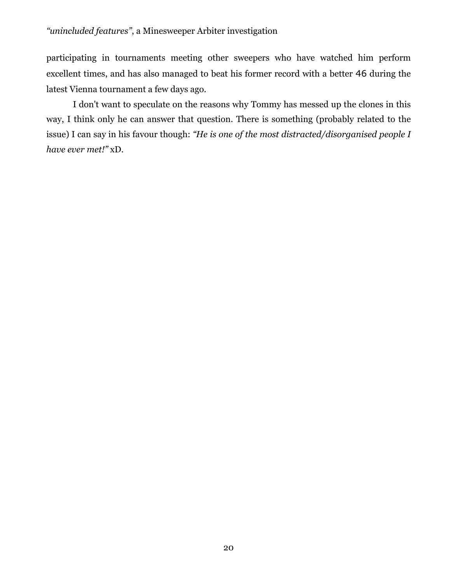participating in tournaments meeting other sweepers who have watched him perform excellent times, and has also managed to beat his former record with a better 46 during the latest Vienna tournament a few days ago.

I don't want to speculate on the reasons why Tommy has messed up the clones in this way, I think only he can answer that question. There is something (probably related to the issue) I can say in his favour though: *"He is one of the most distracted/disorganised people I have ever met!"* xD.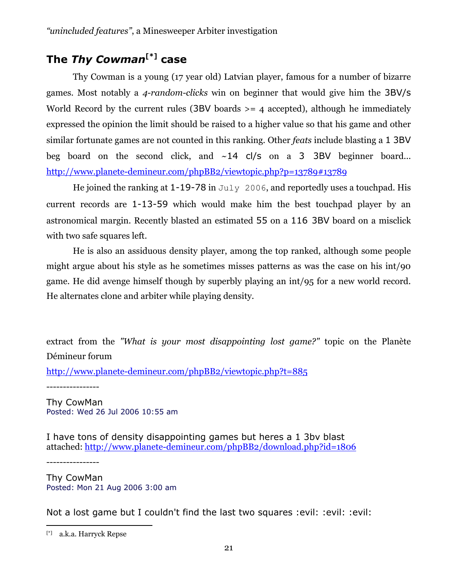# **The** *Thy Cowman***[\*] case**

Thy Cowman is a young (17 year old) Latvian player, famous for a number of bizarre games. Most notably a *4-random-clicks* win on beginner that would give him the 3BV/s World Record by the current rules (3BV boards  $\geq$  4 accepted), although he immediately expressed the opinion the limit should be raised to a higher value so that his game and other similar fortunate games are not counted in this ranking. Other *feats* include blasting a 1 3BV beg board on the second click, and  $\sim$ 14 cl/s on a 3 3BV beginner board... http://www.planete-demineur.com/phpBB2/viewtopic.php?p=13789#13789

He joined the ranking at  $1-19-78$  in July 2006, and reportedly uses a touchpad. His current records are 1-13-59 which would make him the best touchpad player by an astronomical margin. Recently blasted an estimated 55 on a 116 3BV board on a misclick with two safe squares left.

He is also an assiduous density player, among the top ranked, although some people might argue about his style as he sometimes misses patterns as was the case on his int/90 game. He did avenge himself though by superbly playing an int/95 for a new world record. He alternates clone and arbiter while playing density.

extract from the *"What is your most disappointing lost game?"* topic on the Planète Démineur forum

http://www.planete-demineur.com/phpBB2/viewtopic.php?t=885

----------------

Thy CowMan Posted: Wed 26 Jul 2006 10:55 am

I have tons of density disappointing games but heres a 1 3bv blast attached: http://www.planete-demineur.com/phpBB2/download.php?id=1806

----------------

 $\overline{a}$ 

Thy CowMan Posted: Mon 21 Aug 2006 3:00 am

Not a lost game but I couldn't find the last two squares :evil: :evil: :evil:

<sup>[\*]</sup> a.k.a. Harryck Repse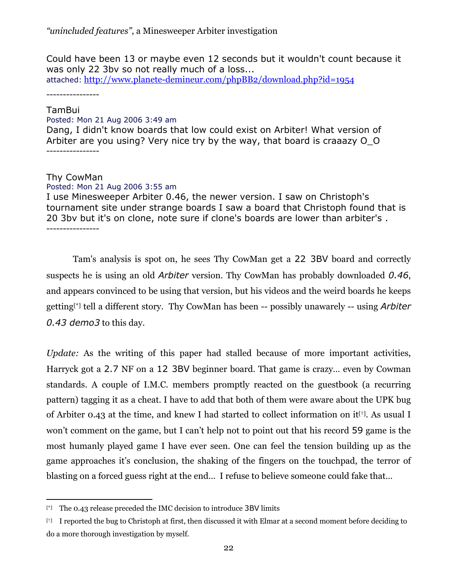Could have been 13 or maybe even 12 seconds but it wouldn't count because it was only 22 3bv so not really much of a loss... attached: http://www.planete-demineur.com/phpBB2/download.php?id=1954

----------------

#### TamBui

Posted: Mon 21 Aug 2006 3:49 am

Dang, I didn't know boards that low could exist on Arbiter! What version of Arbiter are you using? Very nice try by the way, that board is craaazy O\_O ----------------

#### Thy CowMan

<u>.</u>

#### Posted: Mon 21 Aug 2006 3:55 am

I use Minesweeper Arbiter 0.46, the newer version. I saw on Christoph's tournament site under strange boards I saw a board that Christoph found that is 20 3bv but it's on clone, note sure if clone's boards are lower than arbiter's . ----------------

Tam's analysis is spot on, he sees Thy CowMan get a 22 3BV board and correctly suspects he is using an old *Arbiter* version. Thy CowMan has probably downloaded *0.46*, and appears convinced to be using that version, but his videos and the weird boards he keeps getting[\*] tell a different story. Thy CowMan has been -- possibly unawarely -- using *Arbiter 0.43 demo3* to this day.

*Update:* As the writing of this paper had stalled because of more important activities, Harryck got a 2.7 NF on a 12 3BV beginner board. That game is crazy… even by Cowman standards. A couple of I.M.C. members promptly reacted on the guestbook (a recurring pattern) tagging it as a cheat. I have to add that both of them were aware about the UPK bug of Arbiter 0.43 at the time, and knew I had started to collect information on it<sup>[†]</sup>. As usual I won't comment on the game, but I can't help not to point out that his record 59 game is the most humanly played game I have ever seen. One can feel the tension building up as the game approaches it's conclusion, the shaking of the fingers on the touchpad, the terror of blasting on a forced guess right at the end… I refuse to believe someone could fake that…

 $[$ <sup>\*1</sup> The 0.43 release preceded the IMC decision to introduce 3BV limits

<sup>[†]</sup> I reported the bug to Christoph at first, then discussed it with Elmar at a second moment before deciding to do a more thorough investigation by myself.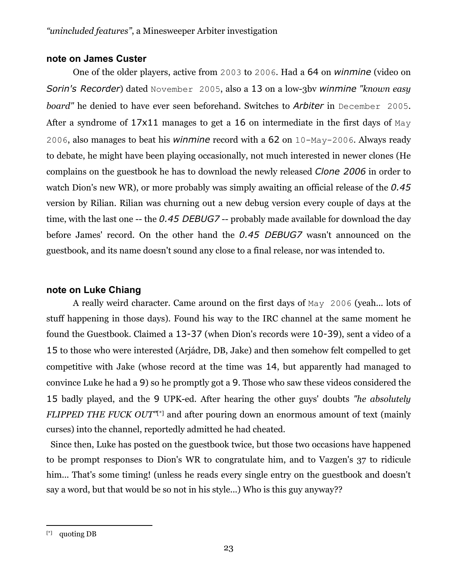#### **note on James Custer**

One of the older players, active from 2003 to 2006. Had a 64 on *winmine* (video on *Sorin's Recorder*) dated November 2005, also a 13 on a low-3bv *winmine "known easy board"* he denied to have ever seen beforehand. Switches to *Arbiter* in December 2005. After a syndrome of  $17x11$  manages to get a 16 on intermediate in the first days of May 2006, also manages to beat his *winmine* record with a 62 on 10-May-2006. Always ready to debate, he might have been playing occasionally, not much interested in newer clones (He complains on the guestbook he has to download the newly released *Clone 2006* in order to watch Dion's new WR), or more probably was simply awaiting an official release of the *0.45* version by Rilian. Rilian was churning out a new debug version every couple of days at the time, with the last one -- the *0.45 DEBUG7* -- probably made available for download the day before James' record. On the other hand the *0.45 DEBUG7* wasn't announced on the guestbook, and its name doesn't sound any close to a final release, nor was intended to.

#### **note on Luke Chiang**

A really weird character. Came around on the first days of May 2006 (yeah... lots of stuff happening in those days). Found his way to the IRC channel at the same moment he found the Guestbook. Claimed a 13-37 (when Dion's records were 10-39), sent a video of a 15 to those who were interested (Arjádre, DB, Jake) and then somehow felt compelled to get competitive with Jake (whose record at the time was 14, but apparently had managed to convince Luke he had a 9) so he promptly got a 9. Those who saw these videos considered the 15 badly played, and the 9 UPK-ed. After hearing the other guys' doubts *"he absolutely FLIPPED THE FUCK OUT*"[\*] and after pouring down an enormous amount of text (mainly curses) into the channel, reportedly admitted he had cheated.

 Since then, Luke has posted on the guestbook twice, but those two occasions have happened to be prompt responses to Dion's WR to congratulate him, and to Vazgen's 37 to ridicule him... That's some timing! (unless he reads every single entry on the guestbook and doesn't say a word, but that would be so not in his style...) Who is this guy anyway??

 $\overline{a}$ [\*] quoting DB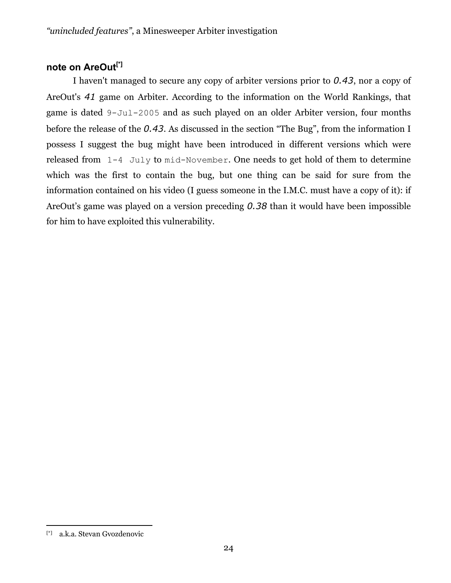# **note on AreOut[\*]**

I haven't managed to secure any copy of arbiter versions prior to *0.43*, nor a copy of AreOut's *41* game on Arbiter. According to the information on the World Rankings, that game is dated 9-Jul-2005 and as such played on an older Arbiter version, four months before the release of the *0.43*. As discussed in the section "The Bug", from the information I possess I suggest the bug might have been introduced in different versions which were released from 1-4 July to mid-November. One needs to get hold of them to determine which was the first to contain the bug, but one thing can be said for sure from the information contained on his video (I guess someone in the I.M.C. must have a copy of it): if AreOut's game was played on a version preceding *0.38* than it would have been impossible for him to have exploited this vulnerability.

<sup>[\*]</sup> a.k.a. Stevan Gvozdenovic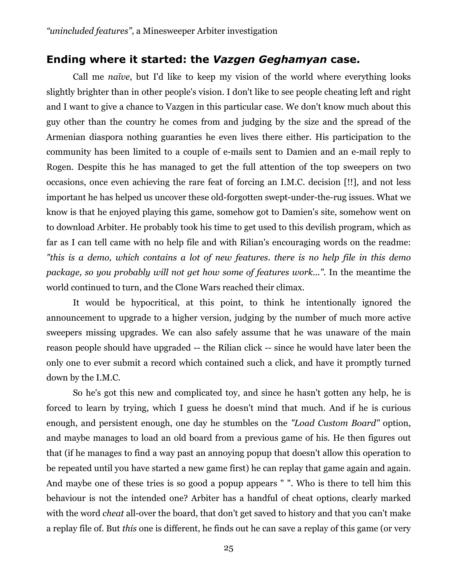### **Ending where it started: the** *Vazgen Geghamyan* **case.**

Call me *naïve*, but I'd like to keep my vision of the world where everything looks slightly brighter than in other people's vision. I don't like to see people cheating left and right and I want to give a chance to Vazgen in this particular case. We don't know much about this guy other than the country he comes from and judging by the size and the spread of the Armenian diaspora nothing guaranties he even lives there either. His participation to the community has been limited to a couple of e-mails sent to Damien and an e-mail reply to Rogen. Despite this he has managed to get the full attention of the top sweepers on two occasions, once even achieving the rare feat of forcing an I.M.C. decision [!!], and not less important he has helped us uncover these old-forgotten swept-under-the-rug issues. What we know is that he enjoyed playing this game, somehow got to Damien's site, somehow went on to download Arbiter. He probably took his time to get used to this devilish program, which as far as I can tell came with no help file and with Rilian's encouraging words on the readme: *"this is a demo, which contains a lot of new features. there is no help file in this demo package, so you probably will not get how some of features work..."*. In the meantime the world continued to turn, and the Clone Wars reached their climax.

It would be hypocritical, at this point, to think he intentionally ignored the announcement to upgrade to a higher version, judging by the number of much more active sweepers missing upgrades. We can also safely assume that he was unaware of the main reason people should have upgraded -- the Rilian click -- since he would have later been the only one to ever submit a record which contained such a click, and have it promptly turned down by the I.M.C.

So he's got this new and complicated toy, and since he hasn't gotten any help, he is forced to learn by trying, which I guess he doesn't mind that much. And if he is curious enough, and persistent enough, one day he stumbles on the *"Load Custom Board"* option, and maybe manages to load an old board from a previous game of his. He then figures out that (if he manages to find a way past an annoying popup that doesn't allow this operation to be repeated until you have started a new game first) he can replay that game again and again. And maybe one of these tries is so good a popup appears " ". Who is there to tell him this behaviour is not the intended one? Arbiter has a handful of cheat options, clearly marked with the word *cheat* all-over the board, that don't get saved to history and that you can't make a replay file of. But *this* one is different, he finds out he can save a replay of this game (or very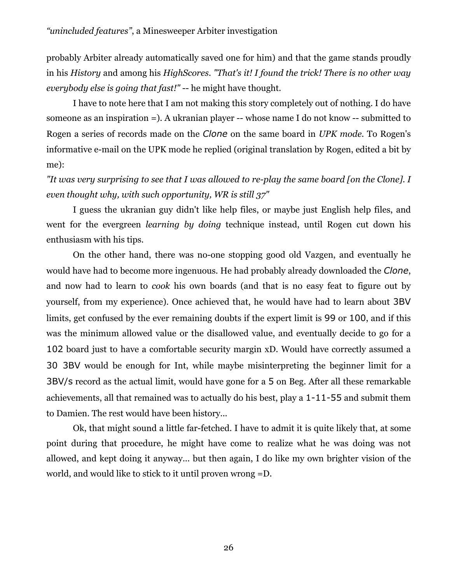probably Arbiter already automatically saved one for him) and that the game stands proudly in his *History* and among his *HighScores*. *"That's it! I found the trick! There is no other way everybody else is going that fast!"* -- he might have thought.

I have to note here that I am not making this story completely out of nothing. I do have someone as an inspiration =). A ukranian player -- whose name I do not know -- submitted to Rogen a series of records made on the *Clone* on the same board in *UPK mode*. To Rogen's informative e-mail on the UPK mode he replied (original translation by Rogen, edited a bit by me):

*"It was very surprising to see that I was allowed to re-play the same board [on the Clone]. I even thought why, with such opportunity, WR is still 37"* 

I guess the ukranian guy didn't like help files, or maybe just English help files, and went for the evergreen *learning by doing* technique instead, until Rogen cut down his enthusiasm with his tips.

On the other hand, there was no-one stopping good old Vazgen, and eventually he would have had to become more ingenuous. He had probably already downloaded the *Clone*, and now had to learn to *cook* his own boards (and that is no easy feat to figure out by yourself, from my experience). Once achieved that, he would have had to learn about 3BV limits, get confused by the ever remaining doubts if the expert limit is 99 or 100, and if this was the minimum allowed value or the disallowed value, and eventually decide to go for a 102 board just to have a comfortable security margin xD. Would have correctly assumed a 30 3BV would be enough for Int, while maybe misinterpreting the beginner limit for a 3BV/s record as the actual limit, would have gone for a 5 on Beg. After all these remarkable achievements, all that remained was to actually do his best, play a 1-11-55 and submit them to Damien. The rest would have been history...

Ok, that might sound a little far-fetched. I have to admit it is quite likely that, at some point during that procedure, he might have come to realize what he was doing was not allowed, and kept doing it anyway... but then again, I do like my own brighter vision of the world, and would like to stick to it until proven wrong =D.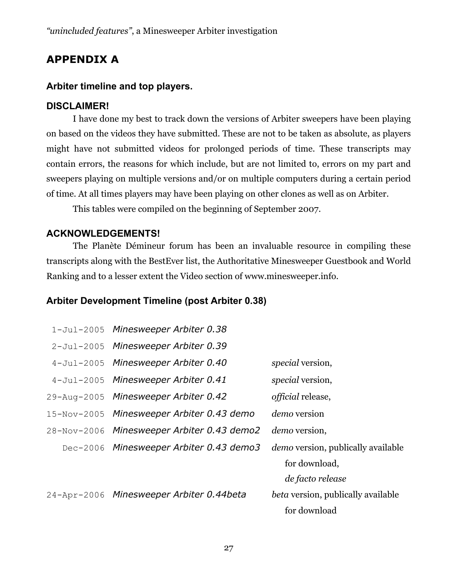# **APPENDIX A**

#### **Arbiter timeline and top players.**

#### **DISCLAIMER!**

 I have done my best to track down the versions of Arbiter sweepers have been playing on based on the videos they have submitted. These are not to be taken as absolute, as players might have not submitted videos for prolonged periods of time. These transcripts may contain errors, the reasons for which include, but are not limited to, errors on my part and sweepers playing on multiple versions and/or on multiple computers during a certain period of time. At all times players may have been playing on other clones as well as on Arbiter.

This tables were compiled on the beginning of September 2007.

#### **ACKNOWLEDGEMENTS!**

The Planète Démineur forum has been an invaluable resource in compiling these transcripts along with the BestEver list, the Authoritative Minesweeper Guestbook and World Ranking and to a lesser extent the Video section of www.minesweeper.info.

## **Arbiter Development Timeline (post Arbiter 0.38)**

| 1-Jul-2005 Minesweeper Arbiter 0.38        |                                           |
|--------------------------------------------|-------------------------------------------|
| 2-Jul-2005 Minesweeper Arbiter 0.39        |                                           |
| 4-Jul-2005 Minesweeper Arbiter 0.40        | special version,                          |
| 4-Jul-2005 Minesweeper Arbiter 0.41        | special version,                          |
| 29-Aug-2005 Minesweeper Arbiter 0.42       | <i>official</i> release,                  |
| 15-Nov-2005 Minesweeper Arbiter 0.43 demo  | <i>demo</i> version                       |
| 28-Nov-2006 Minesweeper Arbiter 0.43 demo2 | <i>demo</i> version,                      |
| Dec-2006 Minesweeper Arbiter 0.43 demo3    | <i>demo</i> version, publically available |
|                                            | for download,                             |
|                                            | de facto release                          |
| 24-Apr-2006 Minesweeper Arbiter 0.44beta   | beta version, publically available        |
|                                            | for download                              |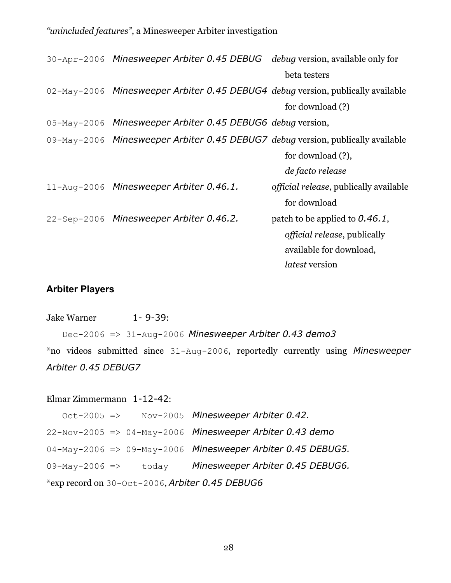| 30-Apr-2006 Minesweeper Arbiter 0.45 DEBUG debug version, available only for    |                                                |
|---------------------------------------------------------------------------------|------------------------------------------------|
|                                                                                 | beta testers                                   |
| 02-May-2006 Minesweeper Arbiter 0.45 DEBUG4 debug version, publically available |                                                |
|                                                                                 | for download (?)                               |
| 05-May-2006 Minesweeper Arbiter 0.45 DEBUG6 debug version,                      |                                                |
| 09-May-2006 Minesweeper Arbiter 0.45 DEBUG7 debug version, publically available |                                                |
|                                                                                 | for download (?),                              |
|                                                                                 | de facto release                               |
| 11-Aug-2006 Minesweeper Arbiter 0.46.1.                                         | <i>official release</i> , publically available |
|                                                                                 | for download                                   |
| 22-Sep-2006 Minesweeper Arbiter 0.46.2.                                         | patch to be applied to $0.46.1$ ,              |
|                                                                                 | <i>official release</i> , publically           |
|                                                                                 | available for download,                        |
|                                                                                 | <i>latest</i> version                          |

### **Arbiter Players**

#### Jake Warner 1- 9-39:

 Dec-2006 => 31-Aug-2006 *Minesweeper Arbiter 0.43 demo3* \*no videos submitted since 31-Aug-2006, reportedly currently using *Minesweeper Arbiter 0.45 DEBUG7*

#### Elmar Zimmermann 1-12-42:

| $Oct-2005$ =>                                   | Nov-2005 Minesweeper Arbiter 0.42.                          |  |
|-------------------------------------------------|-------------------------------------------------------------|--|
|                                                 | 22-Nov-2005 => 04-May-2006 Minesweeper Arbiter 0.43 demo    |  |
|                                                 | 04-May-2006 => 09-May-2006 Minesweeper Arbiter 0.45 DEBUG5. |  |
| $09-May-2006 \Rightarrow$<br>today              | Minesweeper Arbiter 0.45 DEBUG6.                            |  |
| *exp record on 30-Oct-2006, Arbiter 0.45 DEBUG6 |                                                             |  |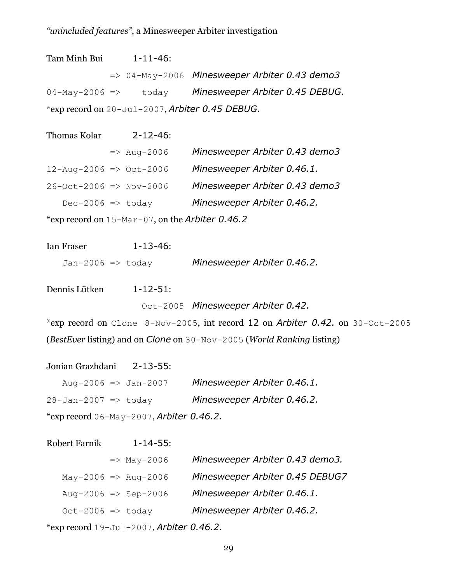| Tam Minh Bui                                    |  | $1 - 11 - 46$ : |                                                          |
|-------------------------------------------------|--|-----------------|----------------------------------------------------------|
|                                                 |  |                 | $\Rightarrow$ 04-May-2006 Minesweeper Arbiter 0.43 demo3 |
| $04-May-2006 \Rightarrow$ today                 |  |                 | Minesweeper Arbiter 0.45 DEBUG.                          |
| *exp record on 20-Jul-2007, Arbiter 0.45 DEBUG. |  |                 |                                                          |

| Thomas Kolar                                        | $2 - 12 - 46$ :        |                                |
|-----------------------------------------------------|------------------------|--------------------------------|
|                                                     | $\Rightarrow$ Aug-2006 | Minesweeper Arbiter 0.43 demo3 |
| $12 - \text{Aug} - 2006 \implies \text{Oct} - 2006$ |                        | Minesweeper Arbiter 0.46.1.    |
| $26 - Oct - 2006 \implies Nov - 2006$               |                        | Minesweeper Arbiter 0.43 demo3 |
| $Dec-2006 \Rightarrow$ today                        |                        | Minesweeper Arbiter 0.46.2.    |
|                                                     |                        |                                |

\*exp record on 15-Mar-07, on the *Arbiter 0.46.2* 

| Ian Fraser                   | $1 - 13 - 46$ : |                             |
|------------------------------|-----------------|-----------------------------|
| Jan-2006 $\Rightarrow$ today |                 | Minesweeper Arbiter 0.46.2. |

Dennis Lütken 1-12-51:

Oct-2005 *Minesweeper Arbiter 0.42.* 

\*exp record on Clone 8-Nov-2005, int record 12 on *Arbiter 0.42.* on 30-Oct-2005 (*BestEver* listing) and on *Clone* on 30-Nov-2005 (*World Ranking* listing)

Jonian Grazhdani 2-13-55:

| Aug-2006 $\Rightarrow$ Jan-2007             | Minesweeper Arbiter 0.46.1. |  |
|---------------------------------------------|-----------------------------|--|
| $28 - Jan - 2007 \implies$ today            | Minesweeper Arbiter 0.46.2. |  |
| *exp record $06$ -May-2007, Arbiter 0.46.2. |                             |  |

| <b>Robert Farnik</b>         | $1 - 14 - 55$ :              |                                 |
|------------------------------|------------------------------|---------------------------------|
|                              | $\Rightarrow$ May-2006       | Minesweeper Arbiter 0.43 demo3. |
|                              | $May-2006 \implies Aug-2006$ | Minesweeper Arbiter 0.45 DEBUG7 |
|                              | Aug-2006 => Sep-2006         | Minesweeper Arbiter 0.46.1.     |
| $Oct-2006 \Rightarrow today$ |                              | Minesweeper Arbiter 0.46.2.     |
|                              |                              |                                 |

\*exp record 19-Jul-2007, *Arbiter 0.46.2.*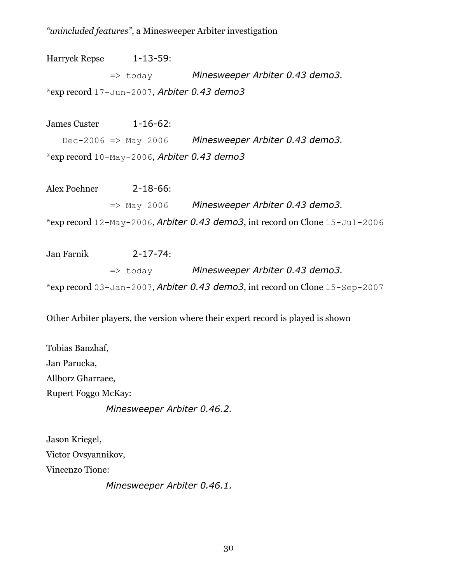Harryck Repse 1-13-59: => today *Minesweeper Arbiter 0.43 demo3*. \*exp record 17-Jun-2007, *Arbiter 0.43 demo3* 

James Custer 1-16-62: Dec-2006 => May 2006 *Minesweeper Arbiter 0.43 demo3.*  \*exp record 10-May-2006, *Arbiter 0.43 demo3* 

Alex Poehner 2-18-66: => May 2006 *Minesweeper Arbiter 0.43 demo3*. \*exp record 12-May-2006, *Arbiter 0.43 demo3*, int record on Clone 15-Jul-2006

Jan Farnik 2-17-74: => today *Minesweeper Arbiter 0.43 demo3.*  \*exp record 03-Jan-2007, *Arbiter 0.43 demo3*, int record on Clone 15-Sep-2007

Other Arbiter players, the version where their expert record is played is shown

Tobias Banzhaf, Jan Parucka, Allborz Gharraee, Rupert Foggo McKay: *Minesweeper Arbiter 0.46.2.* 

Jason Kriegel, Victor Ovsyannikov, Vincenzo Tione:

*Minesweeper Arbiter 0.46.1.*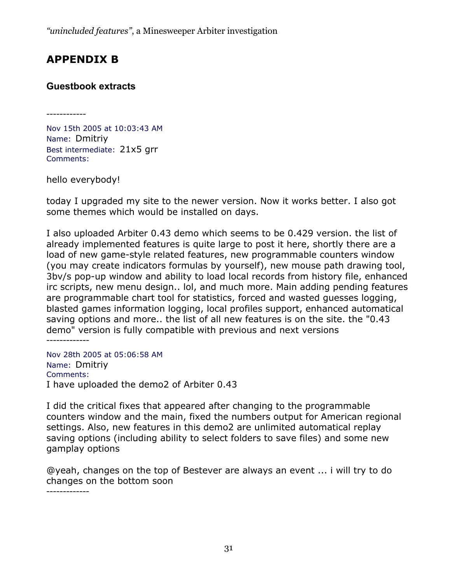# **APPENDIX B**

# **Guestbook extracts**

------------

Nov 15th 2005 at 10:03:43 AM Name: Dmitriy Best intermediate: 21x5 grr Comments:

hello everybody!

today I upgraded my site to the newer version. Now it works better. I also got some themes which would be installed on days.

I also uploaded Arbiter 0.43 demo which seems to be 0.429 version. the list of already implemented features is quite large to post it here, shortly there are a load of new game-style related features, new programmable counters window (you may create indicators formulas by yourself), new mouse path drawing tool, 3bv/s pop-up window and ability to load local records from history file, enhanced irc scripts, new menu design.. lol, and much more. Main adding pending features are programmable chart tool for statistics, forced and wasted guesses logging, blasted games information logging, local profiles support, enhanced automatical saving options and more.. the list of all new features is on the site. the "0.43 demo" version is fully compatible with previous and next versions -------------

Nov 28th 2005 at 05:06:58 AM Name: Dmitriy Comments: I have uploaded the demo2 of Arbiter 0.43

I did the critical fixes that appeared after changing to the programmable counters window and the main, fixed the numbers output for American regional settings. Also, new features in this demo2 are unlimited automatical replay saving options (including ability to select folders to save files) and some new gamplay options

@yeah, changes on the top of Bestever are always an event ... i will try to do changes on the bottom soon

-------------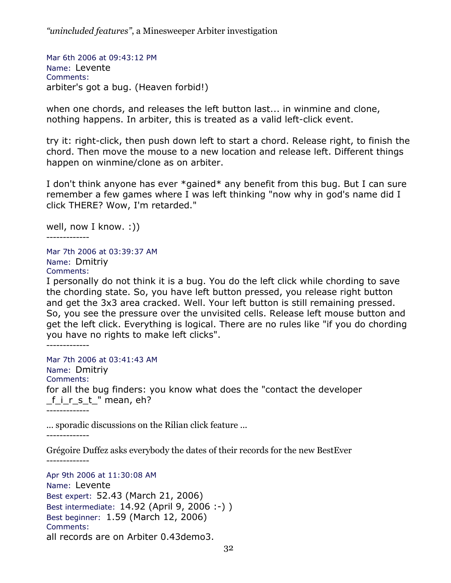Mar 6th 2006 at 09:43:12 PM Name: Levente Comments: arbiter's got a bug. (Heaven forbid!)

when one chords, and releases the left button last... in winmine and clone, nothing happens. In arbiter, this is treated as a valid left-click event.

try it: right-click, then push down left to start a chord. Release right, to finish the chord. Then move the mouse to a new location and release left. Different things happen on winmine/clone as on arbiter.

I don't think anyone has ever \*gained\* any benefit from this bug. But I can sure remember a few games where I was left thinking "now why in god's name did I click THERE? Wow, I'm retarded."

well, now I know. :))

-------------

Mar 7th 2006 at 03:39:37 AM Name: Dmitriy Comments:

I personally do not think it is a bug. You do the left click while chording to save the chording state. So, you have left button pressed, you release right button and get the 3x3 area cracked. Well. Your left button is still remaining pressed. So, you see the pressure over the unvisited cells. Release left mouse button and get the left click. Everything is logical. There are no rules like "if you do chording you have no rights to make left clicks".

-------------

Mar 7th 2006 at 03:41:43 AM Name: Dmitriy Comments: for all the bug finders: you know what does the "contact the developer first " mean, eh? -------------

... sporadic discussions on the Rilian click feature ... -------------

Grégoire Duffez asks everybody the dates of their records for the new BestEver -------------

Apr 9th 2006 at 11:30:08 AM Name: Levente Best expert: 52.43 (March 21, 2006) Best intermediate: 14.92 (April 9, 2006 :-) ) Best beginner: 1.59 (March 12, 2006) Comments: all records are on Arbiter 0.43demo3.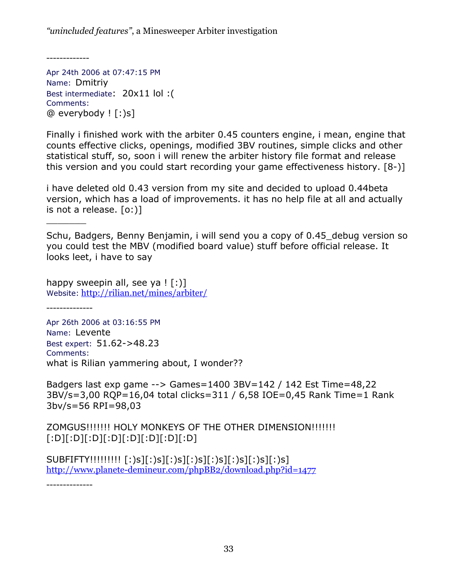-------------

Apr 24th 2006 at 07:47:15 PM Name: Dmitriy Best intermediate: 20x11 lol :( Comments:  $@$  everybody  $[$   $]$ :  $)s]$ 

Finally i finished work with the arbiter 0.45 counters engine, i mean, engine that counts effective clicks, openings, modified 3BV routines, simple clicks and other statistical stuff, so, soon i will renew the arbiter history file format and release this version and you could start recording your game effectiveness history. [8-)]

i have deleted old 0.43 version from my site and decided to upload 0.44beta version, which has a load of improvements. it has no help file at all and actually is not a release. [o:)]

Schu, Badgers, Benny Benjamin, i will send you a copy of 0.45\_debug version so you could test the MBV (modified board value) stuff before official release. It looks leet, i have to say

happy sweepin all, see ya  $\lfloor \cdot \rfloor$ Website: http://rilian.net/mines/arbiter/

--------------

\_\_\_\_\_\_\_

Apr 26th 2006 at 03:16:55 PM Name: Levente Best expert: 51.62->48.23 Comments: what is Rilian yammering about, I wonder??

Badgers last exp game --> Games=1400 3BV=142 / 142 Est Time=48,22 3BV/s=3,00 RQP=16,04 total clicks=311 / 6,58 IOE=0,45 Rank Time=1 Rank 3bv/s=56 RPI=98,03

ZOMGUS!!!!!!! HOLY MONKEYS OF THE OTHER DIMENSION!!!!!!! [:D][:D][:D][:D][:D][:D][:D][:D]

SUBFIFTY!!!!!!!!! [:)s][:)s][:)s][:)s][:)s][:)s][:)s][:)s] http://www.planete-demineur.com/phpBB2/download.php?id=1477

--------------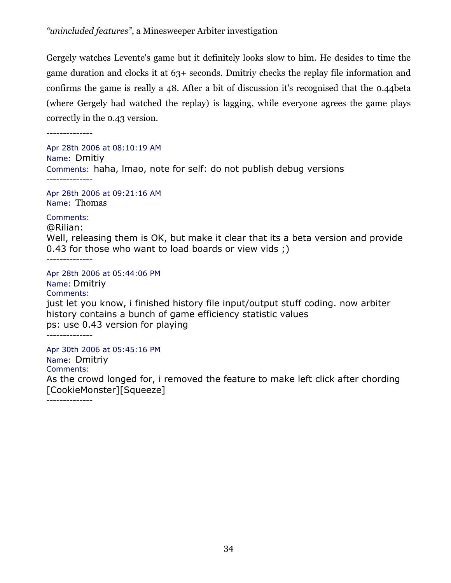Gergely watches Levente's game but it definitely looks slow to him. He desides to time the game duration and clocks it at 63+ seconds. Dmitriy checks the replay file information and confirms the game is really a 48. After a bit of discussion it's recognised that the 0.44beta (where Gergely had watched the replay) is lagging, while everyone agrees the game plays correctly in the 0.43 version.

Apr 28th 2006 at 08:10:19 AM Name: Dmitiy Comments: haha, lmao, note for self: do not publish debug versions --------------

Apr 28th 2006 at 09:21:16 AM Name: Thomas

Comments: @Rilian:

Well, releasing them is OK, but make it clear that its a beta version and provide 0.43 for those who want to load boards or view vids ;)

--------------

Apr 28th 2006 at 05:44:06 PM

Name: Dmitriy Comments: just let you know, i finished history file input/output stuff coding. now arbiter history contains a bunch of game efficiency statistic values ps: use 0.43 version for playing --------------

Apr 30th 2006 at 05:45:16 PM Name: Dmitriy Comments: As the crowd longed for, i removed the feature to make left click after chording [CookieMonster][Squeeze]

--------------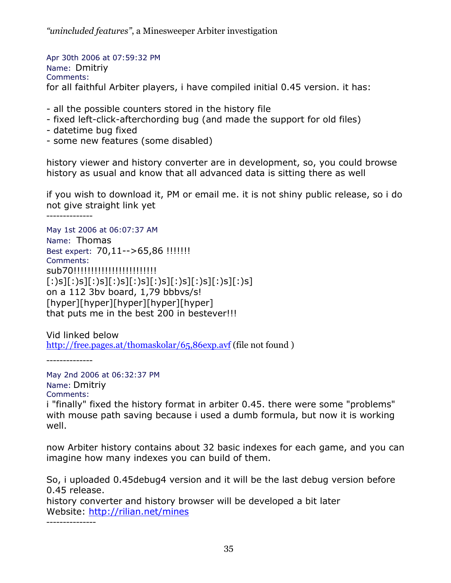Apr 30th 2006 at 07:59:32 PM Name: Dmitriy Comments: for all faithful Arbiter players, i have compiled initial 0.45 version. it has:

- all the possible counters stored in the history file
- fixed left-click-afterchording bug (and made the support for old files)
- datetime bug fixed
- some new features (some disabled)

history viewer and history converter are in development, so, you could browse history as usual and know that all advanced data is sitting there as well

if you wish to download it, PM or email me. it is not shiny public release, so i do not give straight link yet

--------------

May 1st 2006 at 06:07:37 AM Name: Thomas Best expert: 70,11-->65,86 !!!!!!! Comments: sub70!!!!!!!!!!!!!!!!!!!!!!!! [:)s][:)s][:)s][:)s][:)s][:)s][:)s][:)s][:)s][:)s] on a 112 3bv board, 1,79 bbbvs/s! [hyper][hyper][hyper][hyper][hyper] that puts me in the best 200 in bestever!!!

Vid linked below http://free.pages.at/thomaskolar/65,86exp.avf (file not found)

--------------

May 2nd 2006 at 06:32:37 PM Name: Dmitriy Comments:

i "finally" fixed the history format in arbiter 0.45. there were some "problems" with mouse path saving because i used a dumb formula, but now it is working well.

now Arbiter history contains about 32 basic indexes for each game, and you can imagine how many indexes you can build of them.

So, i uploaded 0.45debug4 version and it will be the last debug version before 0.45 release.

history converter and history browser will be developed a bit later Website: http://rilian.net/mines

---------------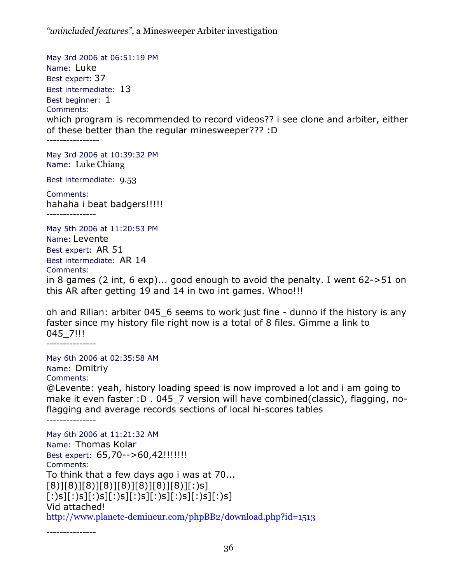May 3rd 2006 at 06:51:19 PM Name: Luke Best expert: 37 Best intermediate: 13 Best beginner: 1 Comments: which program is recommended to record videos?? i see clone and arbiter, either of these better than the regular minesweeper??? :D ---------------- May 3rd 2006 at 10:39:32 PM

Name: Luke Chiang

Best intermediate: 9.53

Comments: hahaha i beat badgers!!!!! ---------------

May 5th 2006 at 11:20:53 PM Name: Levente Best expert: AR 51 Best intermediate: AR 14 Comments: in 8 games (2 int, 6 exp)... good enough to avoid the penalty. I went 62->51 on this AR after getting 19 and 14 in two int games. Whoo!!!

oh and Rilian: arbiter 045\_6 seems to work just fine - dunno if the history is any faster since my history file right now is a total of 8 files. Gimme a link to 045\_7!!!

---------------

May 6th 2006 at 02:35:58 AM Name: Dmitriy Comments:

@Levente: yeah, history loading speed is now improved a lot and i am going to make it even faster : D . 045 7 version will have combined(classic), flagging, noflagging and average records sections of local hi-scores tables

---------------

May 6th 2006 at 11:21:32 AM Name: Thomas Kolar Best expert: 65,70 - - > 60,42!!!!!!!! Comments: To think that a few days ago i was at 70...  $[8]$ [[8)][8)][8)][8)][8)][8)][8)][:)s]  $[[:)$ s][: $)$ s][: $)$ s][: $)$ s][: $)$ s][: $)$ s][: $)$ s][: $)$ s][: $)$ s][ Vid attached! http://www.planete-demineur.com/phpBB2/download.php?id=1513

---------------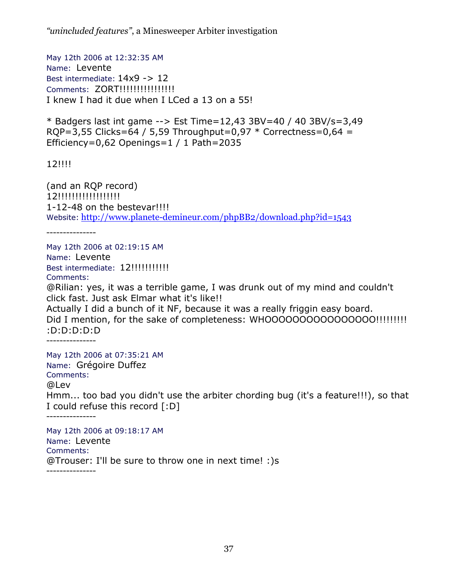May 12th 2006 at 12:32:35 AM Name: Levente Best intermediate:  $14x9 - 12$ Comments: ZORT!!!!!!!!!!!!!!!! I knew I had it due when I LCed a 13 on a 55!

\* Badgers last int game --> Est Time=12,43 3BV=40 / 40 3BV/s=3,49  $RQP = 3,55$  Clicks=64 / 5,59 Throughput=0,97  $*$  Correctness=0,64 = Efficiency=0,62 Openings=1 / 1 Path=2035

12!!!!

(and an RQP record) 12!!!!!!!!!!!!!!!!!!! 1-12-48 on the bestevar!!!! Website: http://www.planete-demineur.com/phpBB2/download.php?id=1543

---------------

May 12th 2006 at 02:19:15 AM Name: Levente Best intermediate: 12!!!!!!!!!!!! Comments: @Rilian: yes, it was a terrible game, I was drunk out of my mind and couldn't click fast. Just ask Elmar what it's like!! Actually I did a bunch of it NF, because it was a really friggin easy board. Did I mention, for the sake of completeness: WHOOOOOOOOOOOOOOO!!!!!!!!!!! :D:D:D:D:D --------------- May 12th 2006 at 07:35:21 AM Name: Grégoire Duffez Comments: @Lev Hmm... too bad you didn't use the arbiter chording bug (it's a feature!!!), so that I could refuse this record [:D] --------------- May 12th 2006 at 09:18:17 AM Name: Levente Comments: @Trouser: I'll be sure to throw one in next time! :)s ---------------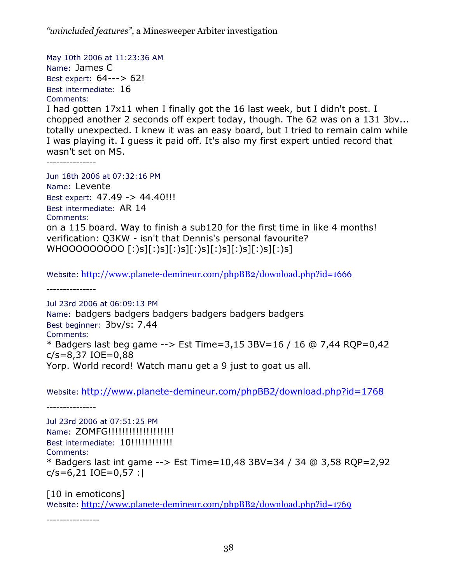May 10th 2006 at 11:23:36 AM Name: James C Best expert: 64---> 62! Best intermediate: 16 Comments:

I had gotten 17x11 when I finally got the 16 last week, but I didn't post. I chopped another 2 seconds off expert today, though. The 62 was on a 131 3bv... totally unexpected. I knew it was an easy board, but I tried to remain calm while I was playing it. I guess it paid off. It's also my first expert untied record that wasn't set on MS.

---------------

Jun 18th 2006 at 07:32:16 PM Name: Levente Best expert: 47.49 -> 44.40!!! Best intermediate: AR 14 Comments: on a 115 board. Way to finish a sub120 for the first time in like 4 months! verification: Q3KW - isn't that Dennis's personal favourite? WHOOOOOOOOO [:)s][:)s][:)s][:)s][:)s][:)s][:)s][:)s]

Website: http://www.planete-demineur.com/phpBB2/download.php?id=1666

---------------

Jul 23rd 2006 at 06:09:13 PM Name: badgers badgers badgers badgers badgers badgers Best beginner: 3bv/s: 7.44 Comments: \* Badgers last beg game --> Est Time=3,15 3BV=16 / 16 @ 7,44 RQP=0,42 c/s=8,37 IOE=0,88 Yorp. World record! Watch manu get a 9 just to goat us all.

Website: http://www.planete-demineur.com/phpBB2/download.php?id=1768

Jul 23rd 2006 at 07:51:25 PM Name: ZOMFG!!!!!!!!!!!!!!!!!!!! Best intermediate: 10!!!!!!!!!!!! Comments: \* Badgers last int game --> Est Time=10,48 3BV=34 / 34 @ 3,58 RQP=2,92  $c/s = 6,21$  IOE = 0,57 :

[10 in emoticons] Website: http://www.planete-demineur.com/phpBB2/download.php?id=1769

----------------

---------------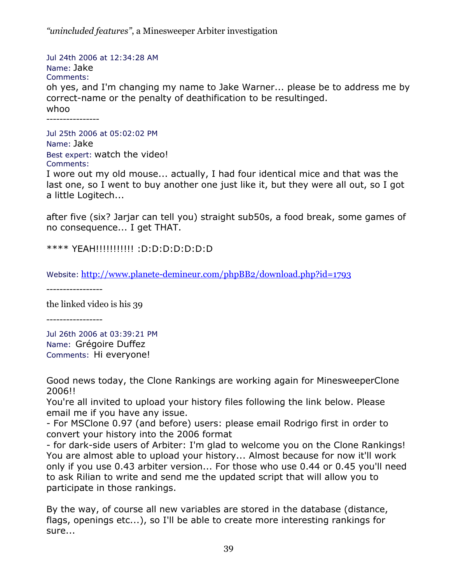Jul 24th 2006 at 12:34:28 AM Name: Jake Comments: oh yes, and I'm changing my name to Jake Warner... please be to address me by correct-name or the penalty of deathification to be resultinged. whoo ----------------

Jul 25th 2006 at 05:02:02 PM Name: Jake Best expert: watch the video! Comments:

I wore out my old mouse... actually, I had four identical mice and that was the last one, so I went to buy another one just like it, but they were all out, so I got a little Logitech...

after five (six? Jarjar can tell you) straight sub50s, a food break, some games of no consequence... I get THAT.

\*\*\*\* YEAH!!!!!!!!!!! :D:D:D:D:D:D:D

Website: http://www.planete-demineur.com/phpBB2/download.php?id=1793

-----------------

the linked video is his 39

-----------------

Jul 26th 2006 at 03:39:21 PM Name: Grégoire Duffez Comments: Hi everyone!

Good news today, the Clone Rankings are working again for MinesweeperClone 2006!!

You're all invited to upload your history files following the link below. Please email me if you have any issue.

- For MSClone 0.97 (and before) users: please email Rodrigo first in order to convert your history into the 2006 format

- for dark-side users of Arbiter: I'm glad to welcome you on the Clone Rankings! You are almost able to upload your history... Almost because for now it'll work only if you use 0.43 arbiter version... For those who use 0.44 or 0.45 you'll need to ask Rilian to write and send me the updated script that will allow you to participate in those rankings.

By the way, of course all new variables are stored in the database (distance, flags, openings etc...), so I'll be able to create more interesting rankings for sure...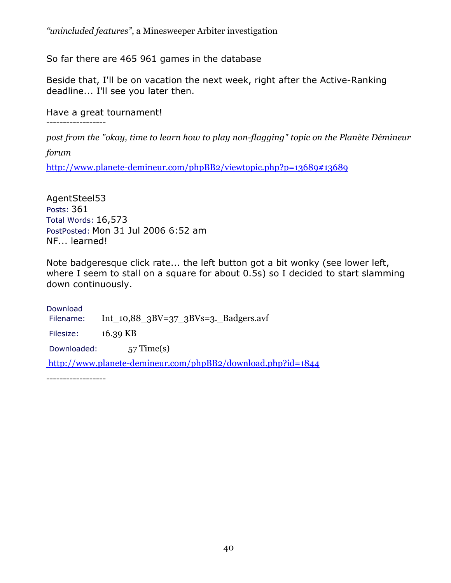So far there are 465 961 games in the database

Beside that, I'll be on vacation the next week, right after the Active-Ranking deadline... I'll see you later then.

Have a great tournament!

------------------

*post from the "okay, time to learn how to play non-flagging" topic on the Planète Démineur* 

*forum* 

http://www.planete-demineur.com/phpBB2/viewtopic.php?p=13689#13689

AgentSteel53 Posts: 361 Total Words: 16,573 PostPosted: Mon 31 Jul 2006 6:52 am NF... learned!

Note badgeresque click rate... the left button got a bit wonky (see lower left, where I seem to stall on a square for about 0.5s) so I decided to start slamming down continuously.

Download Filename: Int\_10,88\_3BV=37\_3BVs=3.\_Badgers.avf Filesize: 16.39 KB Downloaded: 57 Time(s) http://www.planete-demineur.com/phpBB2/download.php?id=1844

------------------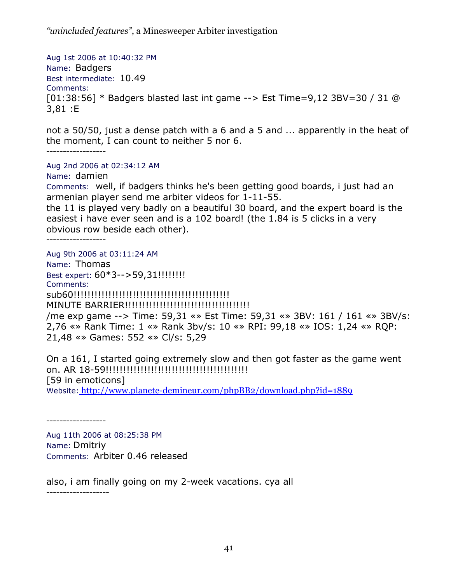Aug 1st 2006 at 10:40:32 PM Name: Badgers Best intermediate: 10.49 Comments: [01:38:56] \* Badgers blasted last int game --> Est Time=9,12 3BV=30 / 31 @ 3,81 :E

not a 50/50, just a dense patch with a 6 and a 5 and ... apparently in the heat of the moment, I can count to neither 5 nor 6.

------------------

Aug 2nd 2006 at 02:34:12 AM

Name: damien

Comments: well, if badgers thinks he's been getting good boards, i just had an armenian player send me arbiter videos for 1-11-55.

the 11 is played very badly on a beautiful 30 board, and the expert board is the easiest i have ever seen and is a 102 board! (the 1.84 is 5 clicks in a very obvious row beside each other).

------------------

Aug 9th 2006 at 03:11:24 AM Name: Thomas Best expert: 60\*3-->59,31!!!!!!!! Comments: sub60!!!!!!!!!!!!!!!!!!!!!!!!!!!!!!!!!!!!!!!!!!!!! MINUTE BARRIER!!!!!!!!!!!!!!!!!!!!!!!!!!!!!!!!!!!! /me exp game --> Time: 59,31 «» Est Time: 59,31 «» 3BV: 161 / 161 «» 3BV/s: 2,76 «» Rank Time: 1 «» Rank 3bv/s: 10 «» RPI: 99,18 «» IOS: 1,24 «» RQP: 21,48 «» Games: 552 «» Cl/s: 5,29

On a 161, I started going extremely slow and then got faster as the game went on. AR 18-59!!!!!!!!!!!!!!!!!!!!!!!!!!!!!!!!!!!!!!!!! [59 in emoticons] Website: http://www.planete-demineur.com/phpBB2/download.php?id=1889

------------------

Aug 11th 2006 at 08:25:38 PM Name: Dmitriy Comments: Arbiter 0.46 released

also, i am finally going on my 2-week vacations. cya all -------------------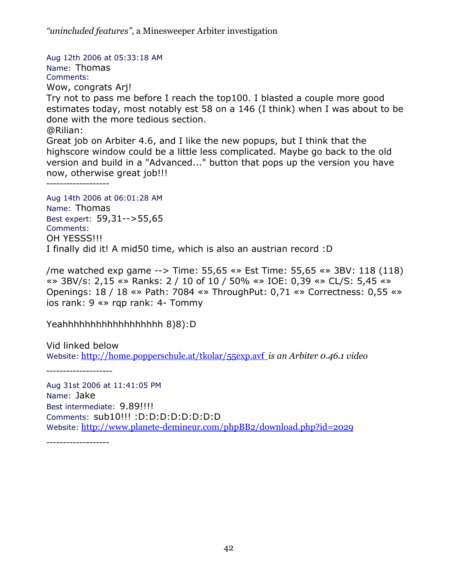Aug 12th 2006 at 05:33:18 AM Name: Thomas Comments: Wow, congrats Arj! Try not to pass me before I reach the top100. I blasted a couple more good estimates today, most notably est 58 on a 146 (I think) when I was about to be done with the more tedious section. @Rilian: Great job on Arbiter 4.6, and I like the new popups, but I think that the highscore window could be a little less complicated. Maybe go back to the old version and build in a "Advanced..." button that pops up the version you have now, otherwise great job!!! ------------------- Aug 14th 2006 at 06:01:28 AM Name: Thomas Best expert: 59,31-->55,65

Comments: OH YESSS!!! I finally did it! A mid50 time, which is also an austrian record :D

/me watched exp game --> Time: 55,65 «» Est Time: 55,65 «» 3BV: 118 (118) «» 3BV/s: 2,15 «» Ranks: 2 / 10 of 10 / 50% «» IOE: 0,39 «» CL/S: 5,45 «» Openings: 18 / 18 «» Path: 7084 «» ThroughPut: 0,71 «» Correctness: 0,55 «» ios rank: 9 «» rqp rank: 4- Tommy

Yeahhhhhhhhhhhhhhhhhh 8)8):D

Vid linked below Website: http://home.popperschule.at/tkolar/55exp.avf *is an Arbiter 0.46.1 video* 

--------------------

Aug 31st 2006 at 11:41:05 PM Name: Jake Best intermediate: 9.89!!!! Comments: sub10!!! :D:D:D:D:D:D:D:D Website: http://www.planete-demineur.com/phpBB2/download.php?id=2029

-------------------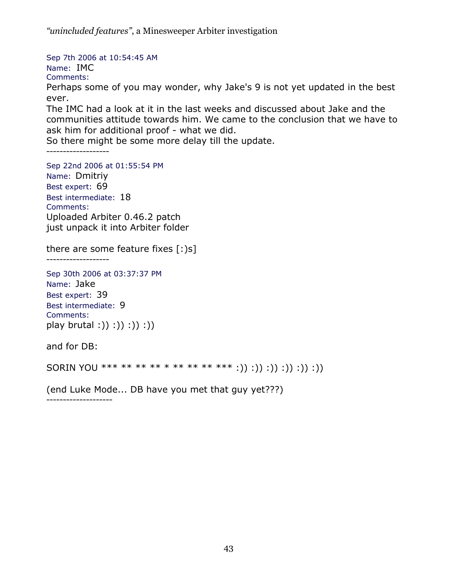Sep 7th 2006 at 10:54:45 AM Name: IMC Comments: Perhaps some of you may wonder, why Jake's 9 is not yet updated in the best ever. The IMC had a look at it in the last weeks and discussed about Jake and the

communities attitude towards him. We came to the conclusion that we have to ask him for additional proof - what we did.

So there might be some more delay till the update.

-------------------

Sep 22nd 2006 at 01:55:54 PM Name: Dmitriy Best expert: 69 Best intermediate: 18 Comments: Uploaded Arbiter 0.46.2 patch just unpack it into Arbiter folder

there are some feature fixes  $[:)s]$ 

-------------------

Sep 30th 2006 at 03:37:37 PM Name: Jake Best expert: 39 Best intermediate: 9 Comments: play brutal : () : () : () : () : ()

and for DB:

SORIN YOU \*\*\* \*\* \*\* \*\* \* \*\* \*\* \*\* \*\*\* :)) :)) :)) :)) :)) :))

(end Luke Mode... DB have you met that guy yet???)

--------------------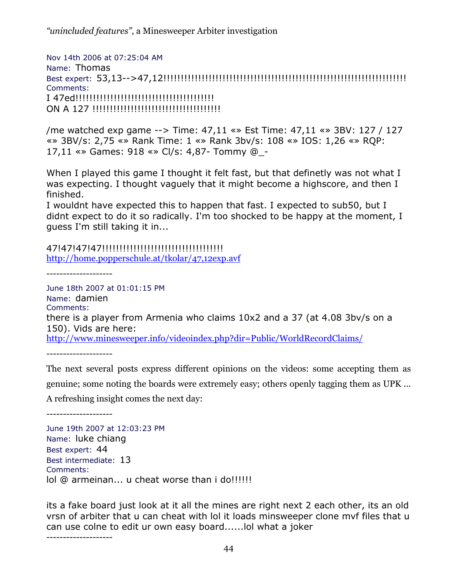Nov 14th 2006 at 07:25:04 AM Name: Thomas Best expert: 53,13-->47,12!!!!!!!!!!!!!!!!!!!!!!!!!!!!!!!!!!!!!!!!!!!!!!!!!!!!!!!!!!!!!!!!!!!!!! Comments: I 47ed!!!!!!!!!!!!!!!!!!!!!!!!!!!!!!!!!!!!!!!! ON A 127 !!!!!!!!!!!!!!!!!!!!!!!!!!!!!!!!!!!!!

/me watched exp game --> Time: 47,11 «» Est Time: 47,11 «» 3BV: 127 / 127 «» 3BV/s: 2,75 «» Rank Time: 1 «» Rank 3bv/s: 108 «» IOS: 1,26 «» RQP: 17,11 «» Games: 918 «» Cl/s: 4,87- Tommy @\_-

When I played this game I thought it felt fast, but that definetly was not what I was expecting. I thought vaguely that it might become a highscore, and then I finished.

I wouldnt have expected this to happen that fast. I expected to sub50, but I didnt expect to do it so radically. I'm too shocked to be happy at the moment, I guess I'm still taking it in...

47!47!47!47!!!!!!!!!!!!!!!!!!!!!!!!!!!!!!!!!!! http://home.popperschule.at/tkolar/47,12exp.avf

--------------------

June 18th 2007 at 01:01:15 PM Name: damien Comments: there is a player from Armenia who claims 10x2 and a 37 (at 4.08 3bv/s on a 150). Vids are here: http://www.minesweeper.info/videoindex.php?dir=Public/WorldRecordClaims/

--------------------

The next several posts express different opinions on the videos: some accepting them as genuine; some noting the boards were extremely easy; others openly tagging them as UPK ... A refreshing insight comes the next day:

--------------------

June 19th 2007 at 12:03:23 PM Name: luke chiang Best expert: 44 Best intermediate: 13 Comments: lol @ armeinan... u cheat worse than i do!!!!!!

its a fake board just look at it all the mines are right next 2 each other, its an old vrsn of arbiter that u can cheat with lol it loads minsweeper clone mvf files that u can use colne to edit ur own easy board......lol what a joker

--------------------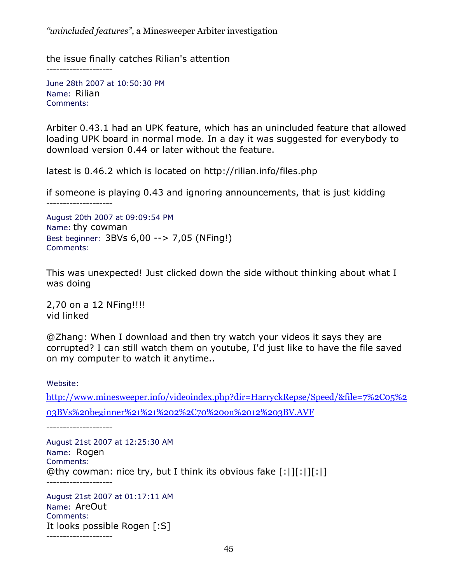the issue finally catches Rilian's attention

June 28th 2007 at 10:50:30 PM Name: Rilian Comments:

--------------------

--------------------

Arbiter 0.43.1 had an UPK feature, which has an unincluded feature that allowed loading UPK board in normal mode. In a day it was suggested for everybody to download version 0.44 or later without the feature.

latest is 0.46.2 which is located on http://rilian.info/files.php

if someone is playing 0.43 and ignoring announcements, that is just kidding

August 20th 2007 at 09:09:54 PM Name: thy cowman Best beginner: 3BVs 6,00 --> 7,05 (NFing!) Comments:

This was unexpected! Just clicked down the side without thinking about what I was doing

2,70 on a 12 NFing!!!! vid linked

@Zhang: When I download and then try watch your videos it says they are corrupted? I can still watch them on youtube, I'd just like to have the file saved on my computer to watch it anytime..

Website:

http://www.minesweeper.info/videoindex.php?dir=HarryckRepse/Speed/&file=7%2C05%2 03BVs%20beginner%21%21%202%2C70%20on%2012%203BV.AVF

--------------------

August 21st 2007 at 12:25:30 AM Name: Rogen Comments: @thy cowman: nice try, but I think its obvious fake [:|][:|][:|] --------------------

August 21st 2007 at 01:17:11 AM Name: AreOut Comments: It looks possible Rogen [:S] --------------------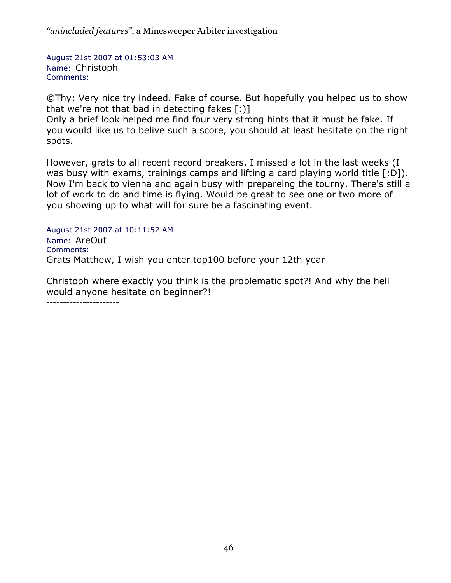August 21st 2007 at 01:53:03 AM Name: Christoph Comments:

@Thy: Very nice try indeed. Fake of course. But hopefully you helped us to show that we're not that bad in detecting fakes [:)]

Only a brief look helped me find four very strong hints that it must be fake. If you would like us to belive such a score, you should at least hesitate on the right spots.

However, grats to all recent record breakers. I missed a lot in the last weeks (I was busy with exams, trainings camps and lifting a card playing world title [:D]). Now I'm back to vienna and again busy with prepareing the tourny. There's still a lot of work to do and time is flying. Would be great to see one or two more of you showing up to what will for sure be a fascinating event.

---------------------

August 21st 2007 at 10:11:52 AM Name: AreOut Comments: Grats Matthew, I wish you enter top100 before your 12th year

Christoph where exactly you think is the problematic spot?! And why the hell would anyone hesitate on beginner?!

----------------------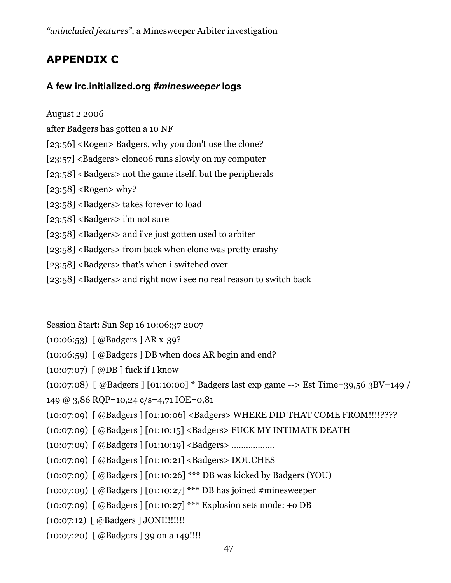# **APPENDIX C**

# **A few irc.initialized.org** *#minesweeper* **logs**

August 2 2006

after Badgers has gotten a 10 NF

[23:56] <Rogen> Badgers, why you don't use the clone?

[23:57] <Badgers> clone06 runs slowly on my computer

[23:58] <Badgers> not the game itself, but the peripherals

 $[23:58]$  <Rogen> why?

- [23:58] <Badgers> takes forever to load
- [23:58] <Badgers> i'm not sure
- [23:58] <Badgers> and i've just gotten used to arbiter
- [23:58] <Badgers> from back when clone was pretty crashy
- [23:58] <Badgers> that's when i switched over
- [23:58] <Badgers> and right now i see no real reason to switch back
- Session Start: Sun Sep 16 10:06:37 2007
- (10:06:53) [ @Badgers ] AR x-39?
- (10:06:59) [ @Badgers ] DB when does AR begin and end?
- (10:07:07) [ @DB ] fuck if I know
- (10:07:08) [ @Badgers ] [01:10:00] \* Badgers last exp game --> Est Time=39,56 3BV=149 /
- 149 @ 3,86 RQP=10,24 c/s=4,71 IOE=0,81
- (10:07:09) [ @Badgers ] [01:10:06] <Badgers> WHERE DID THAT COME FROM!!!!????
- (10:07:09) [ @Badgers ] [01:10:15] <Badgers> FUCK MY INTIMATE DEATH
- (10:07:09) [ @Badgers ] [01:10:19] <Badgers> ..................
- (10:07:09) [ @Badgers ] [01:10:21] <Badgers> DOUCHES
- (10:07:09) [ @Badgers ] [01:10:26] \*\*\* DB was kicked by Badgers (YOU)
- (10:07:09) [ @Badgers ] [01:10:27] \*\*\* DB has joined #minesweeper
- (10:07:09) [ @Badgers ] [01:10:27] \*\*\* Explosion sets mode: +o DB
- (10:07:12) [ @Badgers ] JONI!!!!!!!
- (10:07:20) [ @Badgers ] 39 on a 149!!!!